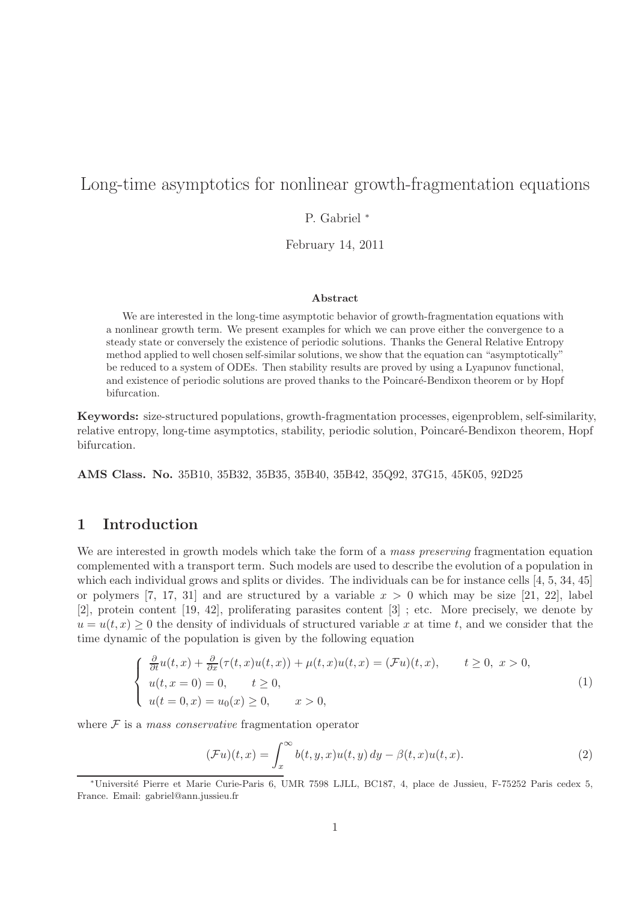# Long-time asymptotics for nonlinear growth-fragmentation equations

P. Gabriel <sup>∗</sup>

February 14, 2011

#### Abstract

We are interested in the long-time asymptotic behavior of growth-fragmentation equations with a nonlinear growth term. We present examples for which we can prove either the convergence to a steady state or conversely the existence of periodic solutions. Thanks the General Relative Entropy method applied to well chosen self-similar solutions, we show that the equation can "asymptotically" be reduced to a system of ODEs. Then stability results are proved by using a Lyapunov functional, and existence of periodic solutions are proved thanks to the Poincaré-Bendixon theorem or by Hopf bifurcation.

Keywords: size-structured populations, growth-fragmentation processes, eigenproblem, self-similarity, relative entropy, long-time asymptotics, stability, periodic solution, Poincaré-Bendixon theorem, Hopf bifurcation.

AMS Class. No. 35B10, 35B32, 35B35, 35B40, 35B42, 35Q92, 37G15, 45K05, 92D25

## 1 Introduction

We are interested in growth models which take the form of a mass preserving fragmentation equation complemented with a transport term. Such models are used to describe the evolution of a population in which each individual grows and splits or divides. The individuals can be for instance cells [4, 5, 34, 45] or polymers [7, 17, 31] and are structured by a variable  $x > 0$  which may be size [21, 22], label [2], protein content [19, 42], proliferating parasites content [3] ; etc. More precisely, we denote by  $u = u(t, x) \geq 0$  the density of individuals of structured variable x at time t, and we consider that the time dynamic of the population is given by the following equation

$$
\begin{cases}\n\frac{\partial}{\partial t}u(t,x) + \frac{\partial}{\partial x}(\tau(t,x)u(t,x)) + \mu(t,x)u(t,x) = (\mathcal{F}u)(t,x), & t \ge 0, \ x > 0, \\
u(t,x=0) = 0, & t \ge 0, \\
u(t=0,x) = u_0(x) \ge 0, & x > 0,\n\end{cases}
$$
\n(1)

where  $\mathcal F$  is a mass conservative fragmentation operator

$$
(\mathcal{F}u)(t,x) = \int_x^{\infty} b(t,y,x)u(t,y) dy - \beta(t,x)u(t,x).
$$
 (2)

<sup>∗</sup>Universit´e Pierre et Marie Curie-Paris 6, UMR 7598 LJLL, BC187, 4, place de Jussieu, F-75252 Paris cedex 5, France. Email: gabriel@ann.jussieu.fr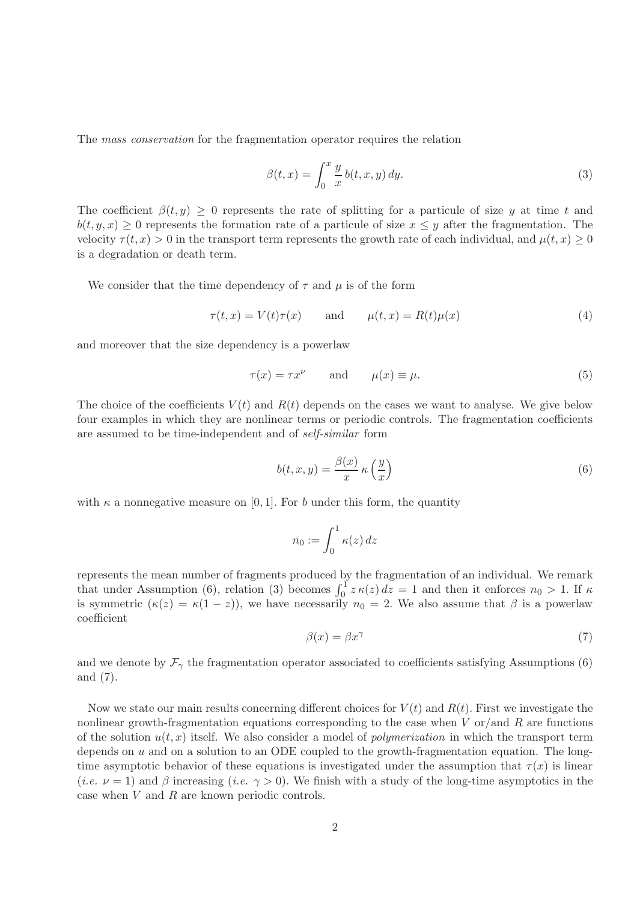The mass conservation for the fragmentation operator requires the relation

$$
\beta(t,x) = \int_0^x \frac{y}{x} b(t,x,y) \, dy. \tag{3}
$$

The coefficient  $\beta(t, y) \geq 0$  represents the rate of splitting for a particule of size y at time t and  $b(t, y, x) \geq 0$  represents the formation rate of a particule of size  $x \leq y$  after the fragmentation. The velocity  $\tau(t, x) > 0$  in the transport term represents the growth rate of each individual, and  $\mu(t, x) \geq 0$ is a degradation or death term.

We consider that the time dependency of  $\tau$  and  $\mu$  is of the form

$$
\tau(t, x) = V(t)\tau(x) \quad \text{and} \quad \mu(t, x) = R(t)\mu(x) \tag{4}
$$

and moreover that the size dependency is a powerlaw

$$
\tau(x) = \tau x^{\nu} \qquad \text{and} \qquad \mu(x) \equiv \mu. \tag{5}
$$

The choice of the coefficients  $V(t)$  and  $R(t)$  depends on the cases we want to analyse. We give below four examples in which they are nonlinear terms or periodic controls. The fragmentation coefficients are assumed to be time-independent and of self-similar form

$$
b(t, x, y) = \frac{\beta(x)}{x} \kappa \left(\frac{y}{x}\right)
$$
 (6)

with  $\kappa$  a nonnegative measure on [0, 1]. For b under this form, the quantity

$$
n_0 := \int_0^1 \kappa(z) \, dz
$$

represents the mean number of fragments produced by the fragmentation of an individual. We remark that under Assumption (6), relation (3) becomes  $\int_0^1 z \kappa(z) dz = 1$  and then it enforces  $n_0 > 1$ . If  $\kappa$ is symmetric  $(\kappa(z) = \kappa(1-z))$ , we have necessarily  $n_0 = 2$ . We also assume that  $\beta$  is a powerlaw coefficient

$$
\beta(x) = \beta x^{\gamma} \tag{7}
$$

and we denote by  $\mathcal{F}_{\gamma}$  the fragmentation operator associated to coefficients satisfying Assumptions (6) and (7).

Now we state our main results concerning different choices for  $V(t)$  and  $R(t)$ . First we investigate the nonlinear growth-fragmentation equations corresponding to the case when  $V$  or/and  $R$  are functions of the solution  $u(t, x)$  itself. We also consider a model of *polymerization* in which the transport term depends on u and on a solution to an ODE coupled to the growth-fragmentation equation. The longtime asymptotic behavior of these equations is investigated under the assumption that  $\tau(x)$  is linear (*i.e.*  $\nu = 1$ ) and  $\beta$  increasing (*i.e.*  $\gamma > 0$ ). We finish with a study of the long-time asymptotics in the case when V and R are known periodic controls.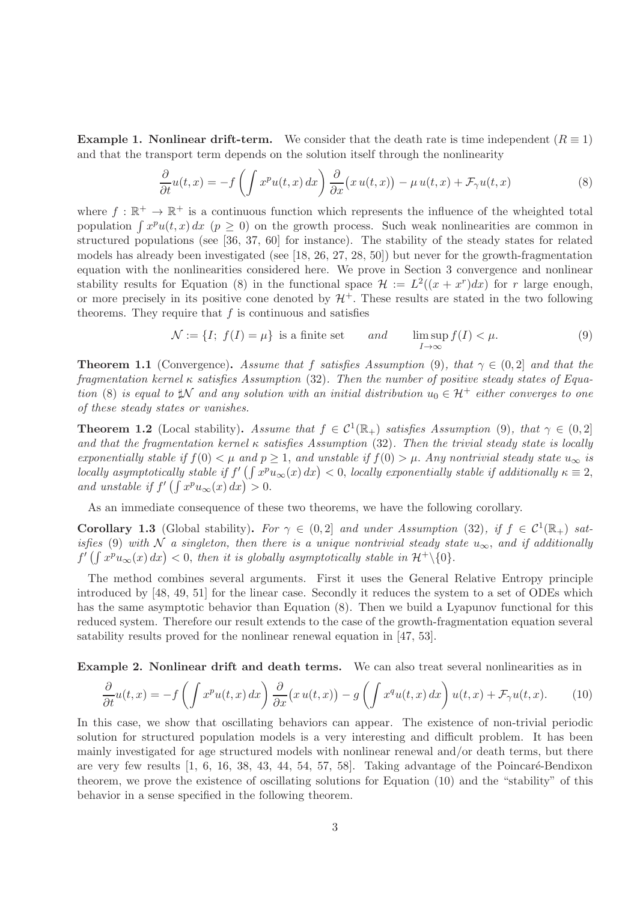**Example 1. Nonlinear drift-term.** We consider that the death rate is time independent  $(R \equiv 1)$ and that the transport term depends on the solution itself through the nonlinearity

$$
\frac{\partial}{\partial t}u(t,x) = -f\left(\int x^p u(t,x) dx\right) \frac{\partial}{\partial x} \left(x u(t,x)\right) - \mu u(t,x) + \mathcal{F}_\gamma u(t,x) \tag{8}
$$

where  $f : \mathbb{R}^+ \to \mathbb{R}^+$  is a continuous function which represents the influence of the wheighted total population  $\int x^p u(t, x) dx$  ( $p \ge 0$ ) on the growth process. Such weak nonlinearities are common in structured populations (see [36, 37, 60] for instance). The stability of the steady states for related models has already been investigated (see [18, 26, 27, 28, 50]) but never for the growth-fragmentation equation with the nonlinearities considered here. We prove in Section 3 convergence and nonlinear stability results for Equation (8) in the functional space  $\mathcal{H} := L^2((x+x^r)dx)$  for r large enough, or more precisely in its positive cone denoted by  $\mathcal{H}^+$ . These results are stated in the two following theorems. They require that  $f$  is continuous and satisfies

$$
\mathcal{N} := \{I; f(I) = \mu\} \text{ is a finite set} \qquad and \qquad \limsup_{I \to \infty} f(I) < \mu. \tag{9}
$$

**Theorem 1.1** (Convergence). Assume that f satisfies Assumption (9), that  $\gamma \in (0, 2]$  and that the fragmentation kernel  $\kappa$  satisfies Assumption (32). Then the number of positive steady states of Equation (8) is equal to  $\sharp\mathcal{N}$  and any solution with an initial distribution  $u_0 \in \mathcal{H}^+$  either converges to one of these steady states or vanishes.

**Theorem 1.2** (Local stability). Assume that  $f \in C^1(\mathbb{R}_+)$  satisfies Assumption (9), that  $\gamma \in (0,2]$ and that the fragmentation kernel  $\kappa$  satisfies Assumption (32). Then the trivial steady state is locally exponentially stable if  $f(0) < \mu$  and  $p \ge 1$ , and unstable if  $f(0) > \mu$ . Any nontrivial steady state  $u_{\infty}$  is locally asymptotically stable if  $f'(\int x^p u_\infty(x) dx) < 0$ , locally exponentially stable if additionally  $\kappa \equiv 2$ , and unstable if  $f'(\int x^p u_\infty(x) dx) > 0$ .

As an immediate consequence of these two theorems, we have the following corollary.

**Corollary 1.3** (Global stability). For  $\gamma \in (0,2]$  and under Assumption (32), if  $f \in C^1(\mathbb{R}_+)$  satisfies (9) with N a singleton, then there is a unique nontrivial steady state  $u_{\infty}$ , and if additionally  $f'(\int x^p u_\infty(x) dx) < 0$ , then it is globally asymptotically stable in  $\mathcal{H}^+ \setminus \{0\}.$ 

The method combines several arguments. First it uses the General Relative Entropy principle introduced by [48, 49, 51] for the linear case. Secondly it reduces the system to a set of ODEs which has the same asymptotic behavior than Equation (8). Then we build a Lyapunov functional for this reduced system. Therefore our result extends to the case of the growth-fragmentation equation several satability results proved for the nonlinear renewal equation in [47, 53].

Example 2. Nonlinear drift and death terms. We can also treat several nonlinearities as in

$$
\frac{\partial}{\partial t}u(t,x) = -f\left(\int x^p u(t,x) \, dx\right) \frac{\partial}{\partial x} \left(x u(t,x)\right) - g\left(\int x^q u(t,x) \, dx\right) u(t,x) + \mathcal{F}_{\gamma}u(t,x). \tag{10}
$$

In this case, we show that oscillating behaviors can appear. The existence of non-trivial periodic solution for structured population models is a very interesting and difficult problem. It has been mainly investigated for age structured models with nonlinear renewal and/or death terms, but there are very few results  $[1, 6, 16, 38, 43, 44, 54, 57, 58]$ . Taking advantage of the Poincaré-Bendixon theorem, we prove the existence of oscillating solutions for Equation (10) and the "stability" of this behavior in a sense specified in the following theorem.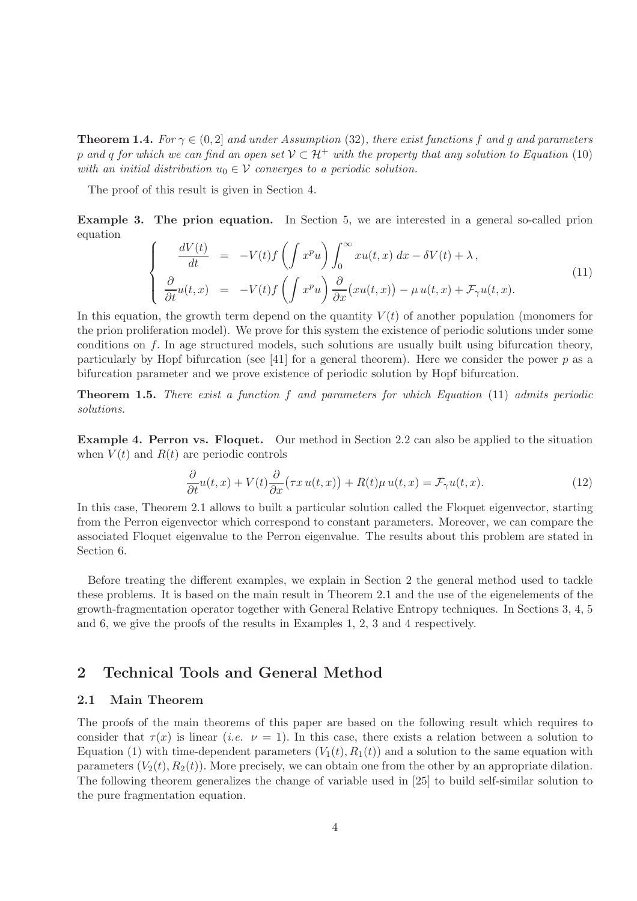**Theorem 1.4.** For  $\gamma \in (0, 2]$  and under Assumption (32), there exist functions f and g and parameters p and q for which we can find an open set  $V \subset \mathcal{H}^+$  with the property that any solution to Equation (10) with an initial distribution  $u_0 \in V$  converges to a periodic solution.

The proof of this result is given in Section 4.

Example 3. The prion equation. In Section 5, we are interested in a general so-called prion equation

$$
\begin{cases}\n\frac{dV(t)}{dt} = -V(t)f\left(\int x^p u\right) \int_0^\infty xu(t,x) \, dx - \delta V(t) + \lambda, \\
\frac{\partial}{\partial t}u(t,x) = -V(t)f\left(\int x^p u\right) \frac{\partial}{\partial x}(xu(t,x)) - \mu u(t,x) + \mathcal{F}_\gamma u(t,x).\n\end{cases} (11)
$$

In this equation, the growth term depend on the quantity  $V(t)$  of another population (monomers for the prion proliferation model). We prove for this system the existence of periodic solutions under some conditions on f. In age structured models, such solutions are usually built using bifurcation theory, particularly by Hopf bifurcation (see [41] for a general theorem). Here we consider the power p as a bifurcation parameter and we prove existence of periodic solution by Hopf bifurcation.

Theorem 1.5. There exist a function f and parameters for which Equation (11) admits periodic solutions.

Example 4. Perron vs. Floquet. Our method in Section 2.2 can also be applied to the situation when  $V(t)$  and  $R(t)$  are periodic controls

$$
\frac{\partial}{\partial t}u(t,x) + V(t)\frac{\partial}{\partial x}(\tau x u(t,x)) + R(t)\mu u(t,x) = \mathcal{F}_{\gamma}u(t,x). \tag{12}
$$

In this case, Theorem 2.1 allows to built a particular solution called the Floquet eigenvector, starting from the Perron eigenvector which correspond to constant parameters. Moreover, we can compare the associated Floquet eigenvalue to the Perron eigenvalue. The results about this problem are stated in Section 6.

Before treating the different examples, we explain in Section 2 the general method used to tackle these problems. It is based on the main result in Theorem 2.1 and the use of the eigenelements of the growth-fragmentation operator together with General Relative Entropy techniques. In Sections 3, 4, 5 and 6, we give the proofs of the results in Examples 1, 2, 3 and 4 respectively.

## 2 Technical Tools and General Method

### 2.1 Main Theorem

The proofs of the main theorems of this paper are based on the following result which requires to consider that  $\tau(x)$  is linear (*i.e.*  $\nu = 1$ ). In this case, there exists a relation between a solution to Equation (1) with time-dependent parameters  $(V_1(t), R_1(t))$  and a solution to the same equation with parameters  $(V_2(t), R_2(t))$ . More precisely, we can obtain one from the other by an appropriate dilation. The following theorem generalizes the change of variable used in [25] to build self-similar solution to the pure fragmentation equation.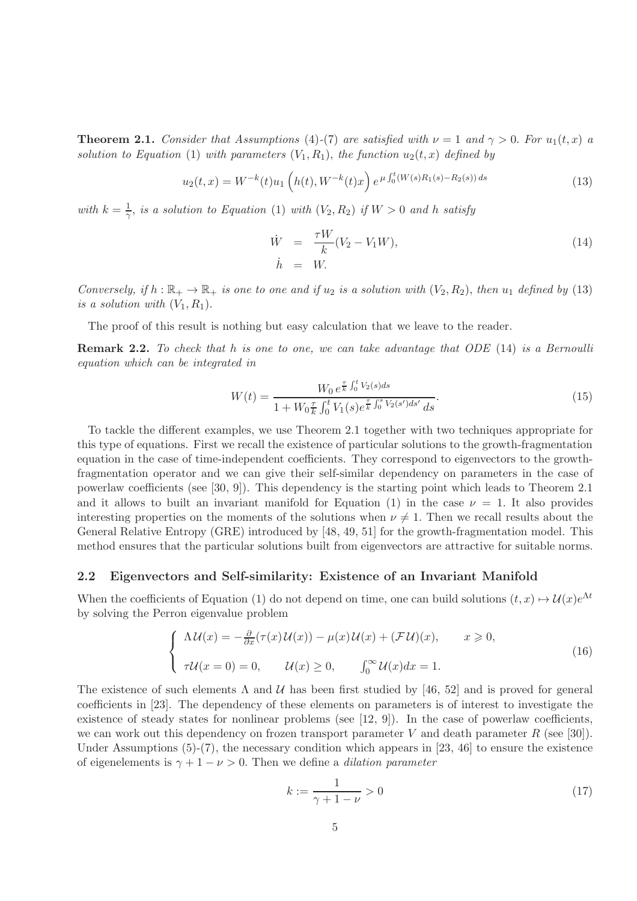**Theorem 2.1.** Consider that Assumptions (4)-(7) are satisfied with  $\nu = 1$  and  $\gamma > 0$ . For  $u_1(t, x)$  a solution to Equation (1) with parameters  $(V_1, R_1)$ , the function  $u_2(t, x)$  defined by

$$
u_2(t,x) = W^{-k}(t)u_1\left(h(t), W^{-k}(t)x\right)e^{\mu \int_0^t (W(s)R_1(s) - R_2(s))ds}
$$
\n(13)

with  $k=\frac{1}{\gamma}$  $\frac{1}{\gamma}$ , is a solution to Equation (1) with  $(V_2, R_2)$  if  $W > 0$  and h satisfy

$$
\dot{W} = \frac{\tau W}{k} (V_2 - V_1 W),
$$
\n
$$
\dot{h} = W.
$$
\n(14)

Conversely, if  $h : \mathbb{R}_+ \to \mathbb{R}_+$  is one to one and if  $u_2$  is a solution with  $(V_2, R_2)$ , then  $u_1$  defined by (13) is a solution with  $(V_1, R_1)$ .

The proof of this result is nothing but easy calculation that we leave to the reader.

Remark 2.2. To check that h is one to one, we can take advantage that ODE (14) is a Bernoulli equation which can be integrated in

$$
W(t) = \frac{W_0 e^{\frac{\tau}{k} \int_0^t V_2(s)ds}}{1 + W_0 \frac{\tau}{k} \int_0^t V_1(s) e^{\frac{\tau}{k} \int_0^s V_2(s')ds'} ds}.
$$
\n(15)

To tackle the different examples, we use Theorem 2.1 together with two techniques appropriate for this type of equations. First we recall the existence of particular solutions to the growth-fragmentation equation in the case of time-independent coefficients. They correspond to eigenvectors to the growthfragmentation operator and we can give their self-similar dependency on parameters in the case of powerlaw coefficients (see [30, 9]). This dependency is the starting point which leads to Theorem 2.1 and it allows to built an invariant manifold for Equation (1) in the case  $\nu = 1$ . It also provides interesting properties on the moments of the solutions when  $\nu \neq 1$ . Then we recall results about the General Relative Entropy (GRE) introduced by [48, 49, 51] for the growth-fragmentation model. This method ensures that the particular solutions built from eigenvectors are attractive for suitable norms.

#### 2.2 Eigenvectors and Self-similarity: Existence of an Invariant Manifold

When the coefficients of Equation (1) do not depend on time, one can build solutions  $(t, x) \mapsto \mathcal{U}(x)e^{\Lambda t}$ by solving the Perron eigenvalue problem

$$
\begin{cases}\n\Lambda \mathcal{U}(x) = -\frac{\partial}{\partial x} (\tau(x) \mathcal{U}(x)) - \mu(x) \mathcal{U}(x) + (\mathcal{F}\mathcal{U})(x), & x \ge 0, \\
\tau \mathcal{U}(x = 0) = 0, & \mathcal{U}(x) \ge 0, \qquad \int_0^\infty \mathcal{U}(x) dx = 1.\n\end{cases}
$$
\n(16)

The existence of such elements  $\Lambda$  and  $\mathcal U$  has been first studied by [46, 52] and is proved for general coefficients in [23]. The dependency of these elements on parameters is of interest to investigate the existence of steady states for nonlinear problems (see [12, 9]). In the case of powerlaw coefficients, we can work out this dependency on frozen transport parameter V and death parameter R (see [30]). Under Assumptions  $(5)-(7)$ , the necessary condition which appears in [23, 46] to ensure the existence of eigenelements is  $\gamma + 1 - \nu > 0$ . Then we define a *dilation parameter* 

$$
k := \frac{1}{\gamma + 1 - \nu} > 0
$$
\n(17)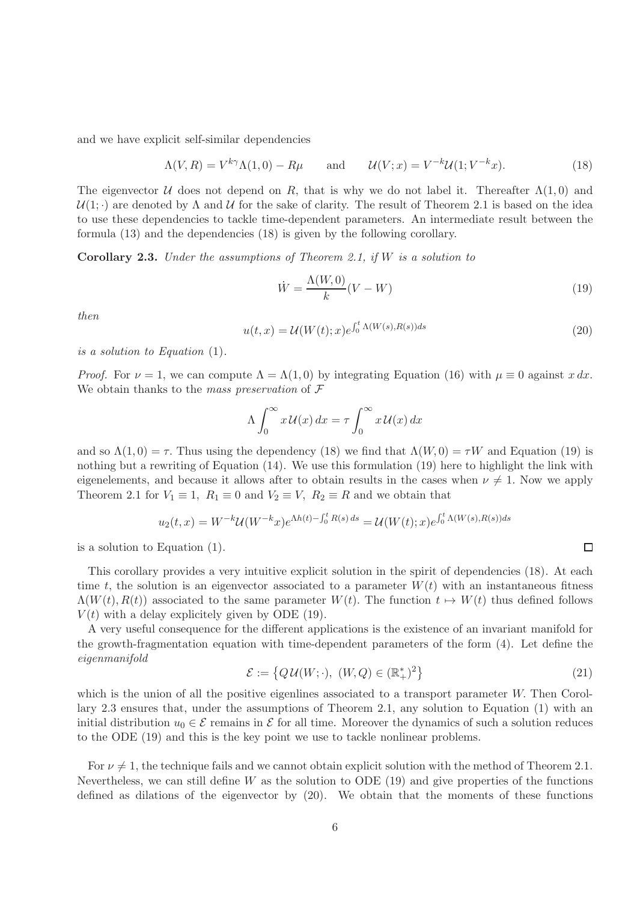and we have explicit self-similar dependencies

$$
\Lambda(V,R) = V^{k\gamma}\Lambda(1,0) - R\mu \quad \text{and} \quad \mathcal{U}(V;x) = V^{-k}\mathcal{U}(1;V^{-k}x). \tag{18}
$$

The eigenvector U does not depend on R, that is why we do not label it. Thereafter  $\Lambda(1,0)$  and  $U(1; \cdot)$  are denoted by  $\Lambda$  and  $U$  for the sake of clarity. The result of Theorem 2.1 is based on the idea to use these dependencies to tackle time-dependent parameters. An intermediate result between the formula (13) and the dependencies (18) is given by the following corollary.

**Corollary 2.3.** Under the assumptions of Theorem 2.1, if  $W$  is a solution to

$$
\dot{W} = \frac{\Lambda(W,0)}{k}(V - W) \tag{19}
$$

then

$$
u(t,x) = \mathcal{U}(W(t);x)e^{\int_0^t \Lambda(W(s),R(s))ds}
$$
\n(20)

is a solution to Equation (1).

*Proof.* For  $\nu = 1$ , we can compute  $\Lambda = \Lambda(1,0)$  by integrating Equation (16) with  $\mu \equiv 0$  against x dx. We obtain thanks to the mass preservation of  $\mathcal F$ 

$$
\Lambda \int_0^\infty x \, \mathcal{U}(x) \, dx = \tau \int_0^\infty x \, \mathcal{U}(x) \, dx
$$

and so  $\Lambda(1,0) = \tau$ . Thus using the dependency (18) we find that  $\Lambda(W,0) = \tau W$  and Equation (19) is nothing but a rewriting of Equation (14). We use this formulation (19) here to highlight the link with eigenelements, and because it allows after to obtain results in the cases when  $\nu \neq 1$ . Now we apply Theorem 2.1 for  $V_1 \equiv 1$ ,  $R_1 \equiv 0$  and  $V_2 \equiv V$ ,  $R_2 \equiv R$  and we obtain that

$$
u_2(t,x) = W^{-k} \mathcal{U}(W^{-k}x) e^{\Lambda h(t) - \int_0^t R(s) ds} = \mathcal{U}(W(t);x) e^{\int_0^t \Lambda(W(s),R(s)) ds}
$$

is a solution to Equation (1).

This corollary provides a very intuitive explicit solution in the spirit of dependencies (18). At each time t, the solution is an eigenvector associated to a parameter  $W(t)$  with an instantaneous fitness  $\Lambda(W(t), R(t))$  associated to the same parameter  $W(t)$ . The function  $t \mapsto W(t)$  thus defined follows  $V(t)$  with a delay explicitely given by ODE (19).

A very useful consequence for the different applications is the existence of an invariant manifold for the growth-fragmentation equation with time-dependent parameters of the form (4). Let define the eigenmanifold

$$
\mathcal{E} := \left\{ Q \mathcal{U}(W; \cdot), \ (W, Q) \in (\mathbb{R}_+^*)^2 \right\} \tag{21}
$$

 $\Box$ 

which is the union of all the positive eigenlines associated to a transport parameter W. Then Corollary 2.3 ensures that, under the assumptions of Theorem 2.1, any solution to Equation (1) with an initial distribution  $u_0 \in \mathcal{E}$  remains in  $\mathcal{E}$  for all time. Moreover the dynamics of such a solution reduces to the ODE (19) and this is the key point we use to tackle nonlinear problems.

For  $\nu \neq 1$ , the technique fails and we cannot obtain explicit solution with the method of Theorem 2.1. Nevertheless, we can still define  $W$  as the solution to ODE (19) and give properties of the functions defined as dilations of the eigenvector by (20). We obtain that the moments of these functions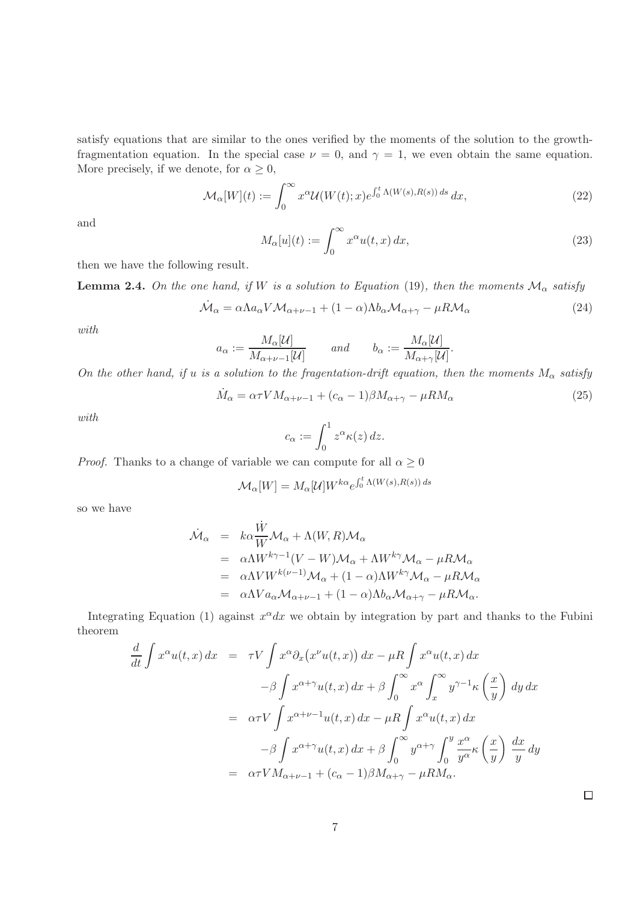satisfy equations that are similar to the ones verified by the moments of the solution to the growthfragmentation equation. In the special case  $\nu = 0$ , and  $\gamma = 1$ , we even obtain the same equation. More precisely, if we denote, for  $\alpha \geq 0$ ,

$$
\mathcal{M}_{\alpha}[W](t) := \int_0^\infty x^{\alpha} \mathcal{U}(W(t);x) e^{\int_0^t \Lambda(W(s), R(s)) ds} dx,
$$
\n(22)

and

$$
M_{\alpha}[u](t) := \int_0^{\infty} x^{\alpha} u(t, x) dx,
$$
\n(23)

then we have the following result.

**Lemma 2.4.** On the one hand, if W is a solution to Equation (19), then the moments  $\mathcal{M}_{\alpha}$  satisfy

$$
\dot{\mathcal{M}}_{\alpha} = \alpha \Lambda a_{\alpha} V \mathcal{M}_{\alpha+\nu-1} + (1-\alpha) \Lambda b_{\alpha} \mathcal{M}_{\alpha+\gamma} - \mu R \mathcal{M}_{\alpha} \tag{24}
$$

with

$$
a_{\alpha} := \frac{M_{\alpha}[\mathcal{U}]}{M_{\alpha+\nu-1}[\mathcal{U}]} \quad \text{and} \quad b_{\alpha} := \frac{M_{\alpha}[\mathcal{U}]}{M_{\alpha+\gamma}[\mathcal{U}]}.
$$

On the other hand, if u is a solution to the fragentation-drift equation, then the moments  $M_{\alpha}$  satisfy

$$
\dot{M}_{\alpha} = \alpha \tau V M_{\alpha + \nu - 1} + (c_{\alpha} - 1)\beta M_{\alpha + \gamma} - \mu R M_{\alpha}
$$
\n(25)

with

$$
c_{\alpha} := \int_0^1 z^{\alpha} \kappa(z) \, dz.
$$

*Proof.* Thanks to a change of variable we can compute for all  $\alpha \geq 0$ 

$$
\mathcal{M}_{\alpha}[W] = M_{\alpha}[U]W^{k\alpha}e^{\int_0^t \Lambda(W(s), R(s)) ds}
$$

so we have

$$
\dot{M}_{\alpha} = k\alpha \frac{\dot{W}}{W} \mathcal{M}_{\alpha} + \Lambda(W, R) \mathcal{M}_{\alpha}
$$
\n
$$
= \alpha \Lambda W^{k\gamma - 1} (V - W) \mathcal{M}_{\alpha} + \Lambda W^{k\gamma} \mathcal{M}_{\alpha} - \mu R \mathcal{M}_{\alpha}
$$
\n
$$
= \alpha \Lambda V W^{k(\nu - 1)} \mathcal{M}_{\alpha} + (1 - \alpha) \Lambda W^{k\gamma} \mathcal{M}_{\alpha} - \mu R \mathcal{M}_{\alpha}
$$
\n
$$
= \alpha \Lambda V a_{\alpha} \mathcal{M}_{\alpha + \nu - 1} + (1 - \alpha) \Lambda b_{\alpha} \mathcal{M}_{\alpha + \gamma} - \mu R \mathcal{M}_{\alpha}.
$$

Integrating Equation (1) against  $x^{\alpha}dx$  we obtain by integration by part and thanks to the Fubini theorem

$$
\frac{d}{dt} \int x^{\alpha} u(t, x) dx = \tau V \int x^{\alpha} \partial_x (x^{\nu} u(t, x)) dx - \mu R \int x^{\alpha} u(t, x) dx
$$

$$
- \beta \int x^{\alpha + \gamma} u(t, x) dx + \beta \int_0^{\infty} x^{\alpha} \int_x^{\infty} y^{\gamma - 1} \kappa \left(\frac{x}{y}\right) dy dx
$$

$$
= \alpha \tau V \int x^{\alpha + \nu - 1} u(t, x) dx - \mu R \int x^{\alpha} u(t, x) dx
$$

$$
- \beta \int x^{\alpha + \gamma} u(t, x) dx + \beta \int_0^{\infty} y^{\alpha + \gamma} \int_0^y \frac{x^{\alpha}}{y^{\alpha}} \kappa \left(\frac{x}{y}\right) \frac{dx}{y} dy
$$

$$
= \alpha \tau V M_{\alpha + \nu - 1} + (c_{\alpha} - 1) \beta M_{\alpha + \gamma} - \mu R M_{\alpha}.
$$

 $\Box$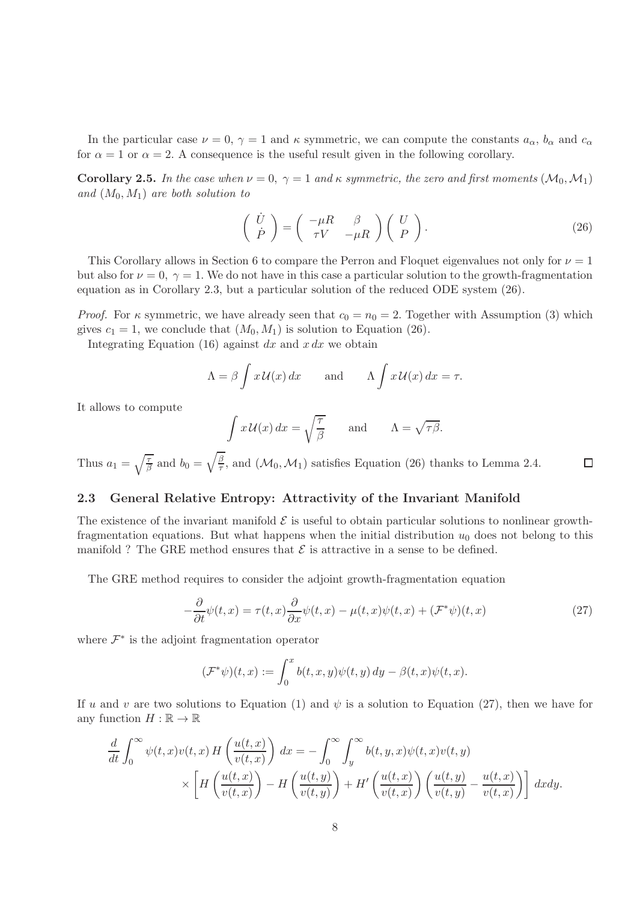In the particular case  $\nu = 0$ ,  $\gamma = 1$  and  $\kappa$  symmetric, we can compute the constants  $a_{\alpha}$ ,  $b_{\alpha}$  and  $c_{\alpha}$ for  $\alpha = 1$  or  $\alpha = 2$ . A consequence is the useful result given in the following corollary.

**Corollary 2.5.** In the case when  $\nu = 0$ ,  $\gamma = 1$  and  $\kappa$  symmetric, the zero and first moments  $(\mathcal{M}_0, \mathcal{M}_1)$ and  $(M_0, M_1)$  are both solution to

$$
\begin{pmatrix}\n\dot{U} \\
\dot{P}\n\end{pmatrix} = \begin{pmatrix}\n-\mu R & \beta \\
\tau V & -\mu R\n\end{pmatrix} \begin{pmatrix}\nU \\
P\n\end{pmatrix}.
$$
\n(26)

 $\Box$ 

This Corollary allows in Section 6 to compare the Perron and Floquet eigenvalues not only for  $\nu = 1$ but also for  $\nu = 0$ ,  $\gamma = 1$ . We do not have in this case a particular solution to the growth-fragmentation equation as in Corollary 2.3, but a particular solution of the reduced ODE system (26).

*Proof.* For  $\kappa$  symmetric, we have already seen that  $c_0 = n_0 = 2$ . Together with Assumption (3) which gives  $c_1 = 1$ , we conclude that  $(M_0, M_1)$  is solution to Equation (26).

Integrating Equation (16) against  $dx$  and  $x dx$  we obtain

$$
\Lambda = \beta \int x \, \mathcal{U}(x) \, dx \qquad \text{and} \qquad \Lambda \int x \, \mathcal{U}(x) \, dx = \tau.
$$

It allows to compute

$$
\int x \, \mathcal{U}(x) \, dx = \sqrt{\frac{\tau}{\beta}}
$$
 and  $\Lambda = \sqrt{\tau \beta}$ .

Thus  $a_1 = \sqrt{\frac{7}{6}}$  $\frac{\tau}{\beta}$  and  $b_0 = \sqrt{\frac{\beta}{\tau}}$  $\frac{\beta}{\tau}$ , and  $(\mathcal{M}_0, \mathcal{M}_1)$  satisfies Equation (26) thanks to Lemma 2.4.

### 2.3 General Relative Entropy: Attractivity of the Invariant Manifold

The existence of the invariant manifold  $\mathcal E$  is useful to obtain particular solutions to nonlinear growthfragmentation equations. But what happens when the initial distribution  $u_0$  does not belong to this manifold ? The GRE method ensures that  $\mathcal E$  is attractive in a sense to be defined.

The GRE method requires to consider the adjoint growth-fragmentation equation

$$
-\frac{\partial}{\partial t}\psi(t,x) = \tau(t,x)\frac{\partial}{\partial x}\psi(t,x) - \mu(t,x)\psi(t,x) + (\mathcal{F}^*\psi)(t,x)
$$
\n(27)

where  $\mathcal{F}^*$  is the adjoint fragmentation operator

$$
(\mathcal{F}^*\psi)(t,x) := \int_0^x b(t,x,y)\psi(t,y) \,dy - \beta(t,x)\psi(t,x).
$$

If u and v are two solutions to Equation (1) and  $\psi$  is a solution to Equation (27), then we have for any function  $H : \mathbb{R} \to \mathbb{R}$ 

$$
\frac{d}{dt} \int_0^\infty \psi(t,x)v(t,x) H\left(\frac{u(t,x)}{v(t,x)}\right) dx = -\int_0^\infty \int_y^\infty b(t,y,x)\psi(t,x)v(t,y) \times \left[H\left(\frac{u(t,x)}{v(t,x)}\right) - H\left(\frac{u(t,y)}{v(t,y)}\right) + H'\left(\frac{u(t,x)}{v(t,x)}\right) \left(\frac{u(t,y)}{v(t,y)} - \frac{u(t,x)}{v(t,x)}\right)\right] dx dy.
$$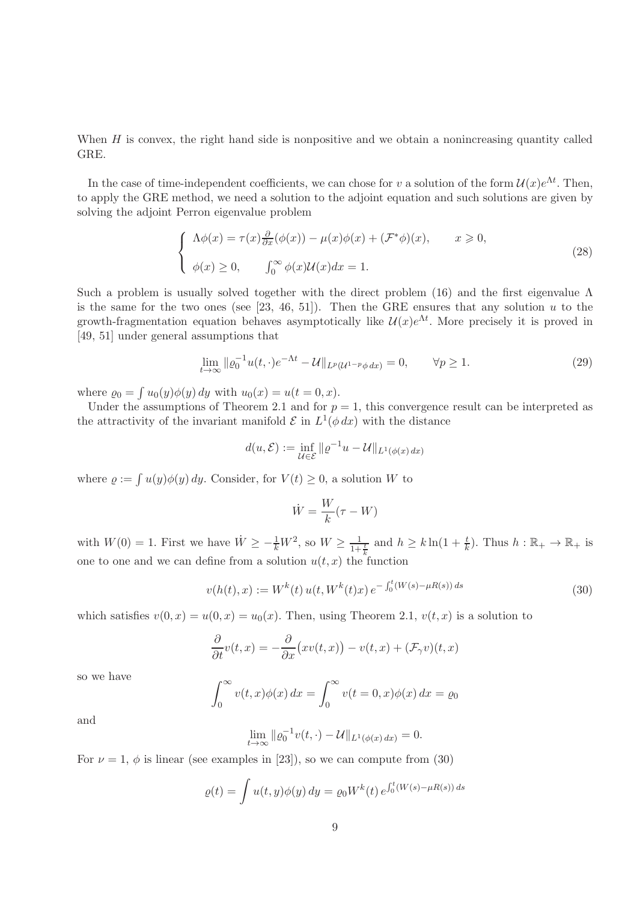When H is convex, the right hand side is nonpositive and we obtain a nonincreasing quantity called GRE.

In the case of time-independent coefficients, we can chose for v a solution of the form  $\mathcal{U}(x)e^{\Lambda t}$ . Then, to apply the GRE method, we need a solution to the adjoint equation and such solutions are given by solving the adjoint Perron eigenvalue problem

$$
\begin{cases}\n\Lambda \phi(x) = \tau(x) \frac{\partial}{\partial x} (\phi(x)) - \mu(x) \phi(x) + (\mathcal{F}^* \phi)(x), & x \geq 0, \\
\phi(x) \geq 0, & \int_0^\infty \phi(x) \mathcal{U}(x) dx = 1.\n\end{cases}
$$
\n(28)

Such a problem is usually solved together with the direct problem (16) and the first eigenvalue Λ is the same for the two ones (see [23, 46, 51]). Then the GRE ensures that any solution  $u$  to the growth-fragmentation equation behaves asymptotically like  $\mathcal{U}(x)e^{\Lambda t}$ . More precisely it is proved in [49, 51] under general assumptions that

$$
\lim_{t \to \infty} \|\varrho_0^{-1} u(t, \cdot) e^{-\Lambda t} - \mathcal{U}\|_{L^p(\mathcal{U}^{1-p} \phi \, dx)} = 0, \qquad \forall p \ge 1.
$$
\n(29)

where  $\varrho_0 = \int u_0(y) \phi(y) \, dy$  with  $u_0(x) = u(t = 0, x)$ .

Under the assumptions of Theorem 2.1 and for  $p = 1$ , this convergence result can be interpreted as the attractivity of the invariant manifold  $\mathcal E$  in  $L^1(\phi dx)$  with the distance

$$
d(u, \mathcal{E}) := \inf_{\mathcal{U} \in \mathcal{E}} ||\varrho^{-1}u - \mathcal{U}||_{L^1(\phi(x) dx)}
$$

where  $\varrho := \int u(y)\phi(y) dy$ . Consider, for  $V(t) \geq 0$ , a solution W to

$$
\dot{W} = \frac{W}{k}(\tau - W)
$$

with  $W(0) = 1$ . First we have  $\dot{W} \ge -\frac{1}{k}W^2$ , so  $W \ge \frac{1}{1+\frac{t}{k}}$  and  $h \ge k \ln(1+\frac{t}{k})$ . Thus  $h : \mathbb{R}_+ \to \mathbb{R}_+$  is one to one and we can define from a solution  $u(t, x)$  the function

$$
v(h(t),x) := W^{k}(t) u(t, W^{k}(t)x) e^{-\int_0^t (W(s) - \mu R(s)) ds}
$$
\n(30)

which satisfies  $v(0, x) = u(0, x) = u_0(x)$ . Then, using Theorem 2.1,  $v(t, x)$  is a solution to

$$
\frac{\partial}{\partial t}v(t,x) = -\frac{\partial}{\partial x}(xv(t,x)) - v(t,x) + (\mathcal{F}_{\gamma}v)(t,x)
$$

so we have

$$
\int_0^\infty v(t,x)\phi(x)\,dx = \int_0^\infty v(t=0,x)\phi(x)\,dx = \varrho_0
$$

and

$$
\lim_{t \to \infty} ||\varrho_0^{-1} v(t, \cdot) - \mathcal{U}||_{L^1(\phi(x) dx)} = 0.
$$

For  $\nu = 1$ ,  $\phi$  is linear (see examples in [23]), so we can compute from (30)

$$
\varrho(t) = \int u(t, y)\phi(y) dy = \varrho_0 W^k(t) e^{\int_0^t (W(s) - \mu R(s)) ds}
$$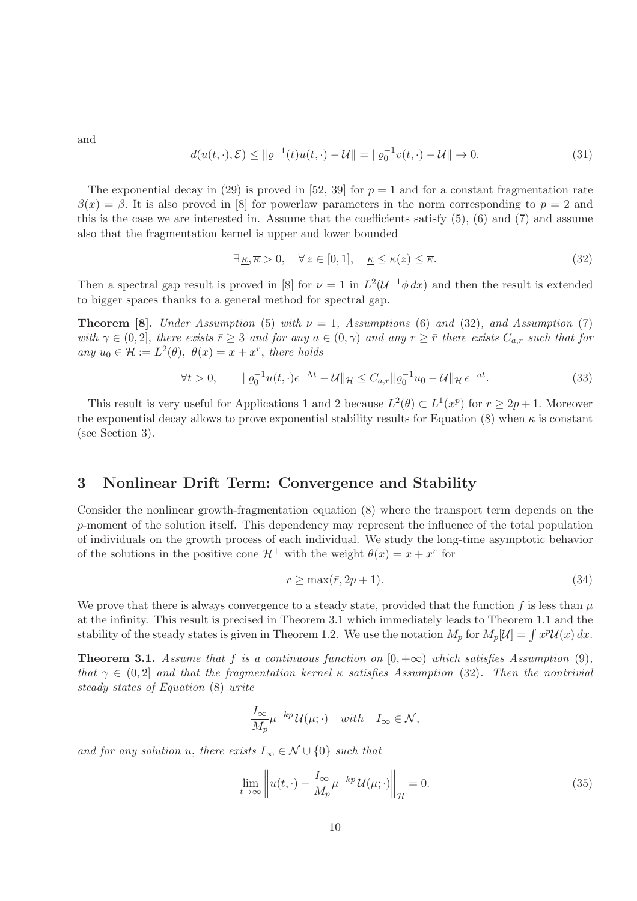and

$$
d(u(t, \cdot), \mathcal{E}) \le ||\varrho^{-1}(t)u(t, \cdot) - \mathcal{U}|| = ||\varrho_0^{-1}v(t, \cdot) - \mathcal{U}|| \to 0.
$$
\n(31)

The exponential decay in (29) is proved in [52, 39] for  $p = 1$  and for a constant fragmentation rate  $\beta(x) = \beta$ . It is also proved in [8] for powerlaw parameters in the norm corresponding to  $p = 2$  and this is the case we are interested in. Assume that the coefficients satisfy  $(5)$ ,  $(6)$  and  $(7)$  and assume also that the fragmentation kernel is upper and lower bounded

$$
\exists \underline{\kappa}, \overline{\kappa} > 0, \quad \forall z \in [0, 1], \quad \underline{\kappa} \le \kappa(z) \le \overline{\kappa}.\tag{32}
$$

Then a spectral gap result is proved in [8] for  $\nu = 1$  in  $L^2(\mathcal{U}^{-1}\phi \, dx)$  and then the result is extended to bigger spaces thanks to a general method for spectral gap.

**Theorem [8].** Under Assumption (5) with  $\nu = 1$ , Assumptions (6) and (32), and Assumption (7) with  $\gamma \in (0, 2]$ , there exists  $\bar{r} \geq 3$  and for any  $a \in (0, \gamma)$  and any  $r \geq \bar{r}$  there exists  $C_{a,r}$  such that for any  $u_0 \in \mathcal{H} := L^2(\theta)$ ,  $\theta(x) = x + x^r$ , there holds

$$
\forall t > 0, \qquad \|\varrho_0^{-1}u(t, \cdot)e^{-\Lambda t} - \mathcal{U}\|_{\mathcal{H}} \le C_{a,r} \|\varrho_0^{-1}u_0 - \mathcal{U}\|_{\mathcal{H}} e^{-at}.
$$
\n(33)

This result is very useful for Applications 1 and 2 because  $L^2(\theta) \subset L^1(x^p)$  for  $r \geq 2p + 1$ . Moreover the exponential decay allows to prove exponential stability results for Equation (8) when  $\kappa$  is constant (see Section 3).

## 3 Nonlinear Drift Term: Convergence and Stability

Consider the nonlinear growth-fragmentation equation (8) where the transport term depends on the p-moment of the solution itself. This dependency may represent the influence of the total population of individuals on the growth process of each individual. We study the long-time asymptotic behavior of the solutions in the positive cone  $\mathcal{H}^+$  with the weight  $\theta(x) = x + x^r$  for

$$
r \ge \max(\bar{r}, 2p+1). \tag{34}
$$

We prove that there is always convergence to a steady state, provided that the function f is less than  $\mu$ at the infinity. This result is precised in Theorem 3.1 which immediately leads to Theorem 1.1 and the stability of the steady states is given in Theorem 1.2. We use the notation  $M_p$  for  $M_p[\mathcal{U}] = \int x^p \mathcal{U}(x) dx$ .

**Theorem 3.1.** Assume that f is a continuous function on  $[0, +\infty)$  which satisfies Assumption (9), that  $\gamma \in (0, 2]$  and that the fragmentation kernel  $\kappa$  satisfies Assumption (32). Then the nontrivial steady states of Equation (8) write

$$
\frac{I_{\infty}}{M_p}\mu^{-kp}\mathcal{U}(\mu;\cdot)\quad with\quad I_{\infty}\in\mathcal{N},
$$

and for any solution u, there exists  $I_{\infty} \in \mathcal{N} \cup \{0\}$  such that

$$
\lim_{t \to \infty} \left\| u(t, \cdot) - \frac{I_{\infty}}{M_p} \mu^{-kp} \mathcal{U}(\mu; \cdot) \right\|_{\mathcal{H}} = 0.
$$
\n(35)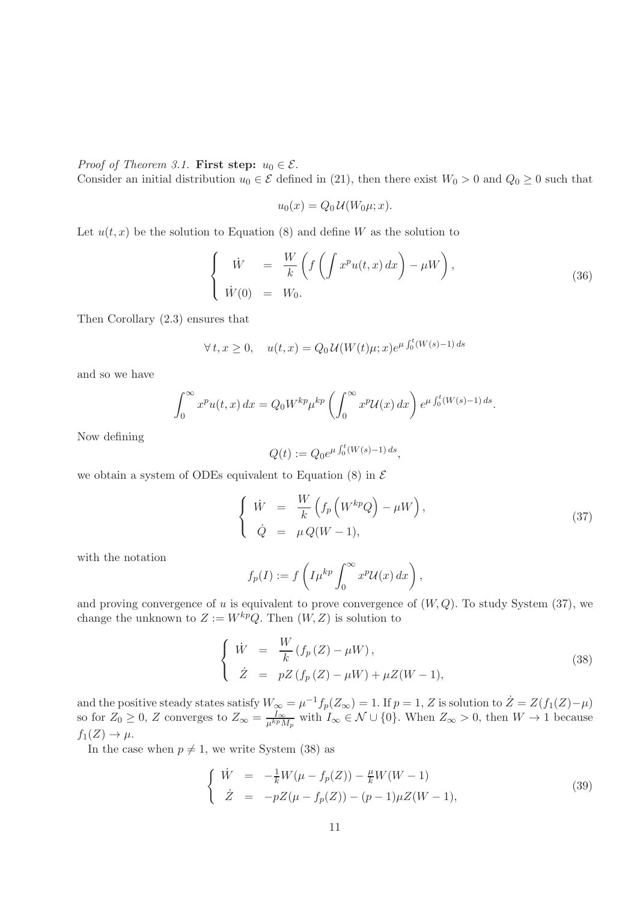*Proof of Theorem 3.1.* First step:  $u_0 \in \mathcal{E}$ .

Consider an initial distribution  $u_0 \in \mathcal{E}$  defined in (21), then there exist  $W_0 > 0$  and  $Q_0 \ge 0$  such that

$$
u_0(x) = Q_0 \mathcal{U}(W_0 \mu; x).
$$

Let  $u(t, x)$  be the solution to Equation (8) and define W as the solution to

$$
\begin{cases}\n\dot{W} = \frac{W}{k} \left( f \left( \int x^p u(t, x) dx \right) - \mu W \right), \\
\dot{W}(0) = W_0.\n\end{cases}
$$
\n(36)

Then Corollary (2.3) ensures that

$$
\forall t, x \ge 0, \quad u(t, x) = Q_0 \mathcal{U}(W(t)\mu; x) e^{\mu \int_0^t (W(s) - 1) ds}
$$

and so we have

$$
\int_0^\infty x^p u(t,x) dx = Q_0 W^{kp} \mu^{kp} \left( \int_0^\infty x^p \mathcal{U}(x) dx \right) e^{\mu \int_0^t (W(s)-1) ds}.
$$

Now defining

$$
Q(t) := Q_0 e^{\mu \int_0^t (W(s) - 1) \, ds},
$$

we obtain a system of ODEs equivalent to Equation  $(8)$  in  $\mathcal E$ 

$$
\begin{cases}\n\dot{W} = \frac{W}{k} \left( f_p \left( W^{kp} Q \right) - \mu W \right), \\
\dot{Q} = \mu Q (W - 1),\n\end{cases} \tag{37}
$$

with the notation

$$
f_p(I) := f\left(I\mu^{kp} \int_0^\infty x^p \mathcal{U}(x) \, dx\right),\,
$$

and proving convergence of u is equivalent to prove convergence of  $(W, Q)$ . To study System (37), we change the unknown to  $Z := W^{kp}Q$ . Then  $(W, Z)$  is solution to

$$
\begin{cases}\n\dot{W} = \frac{W}{k} (f_p(Z) - \mu W), \\
\dot{Z} = pZ (f_p(Z) - \mu W) + \mu Z (W - 1),\n\end{cases}
$$
\n(38)

and the positive steady states satisfy  $W_{\infty} = \mu^{-1} f_p(Z_{\infty}) = 1$ . If  $p = 1, Z$  is solution to  $\dot{Z} = Z(f_1(Z) - \mu)$ so for  $Z_0 \geq 0$ , Z converges to  $Z_{\infty} = \frac{I_{\infty}}{\mu^{kp} M_p}$  with  $I_{\infty} \in \mathcal{N} \cup \{0\}$ . When  $Z_{\infty} > 0$ , then  $W \to 1$  because  $f_1(Z) \to \mu$ .

In the case when  $p \neq 1$ , we write System (38) as

$$
\begin{cases}\n\dot{W} = -\frac{1}{k}W(\mu - f_p(Z)) - \frac{\mu}{k}W(W - 1) \\
\dot{Z} = -pZ(\mu - f_p(Z)) - (p - 1)\mu Z(W - 1),\n\end{cases}
$$
\n(39)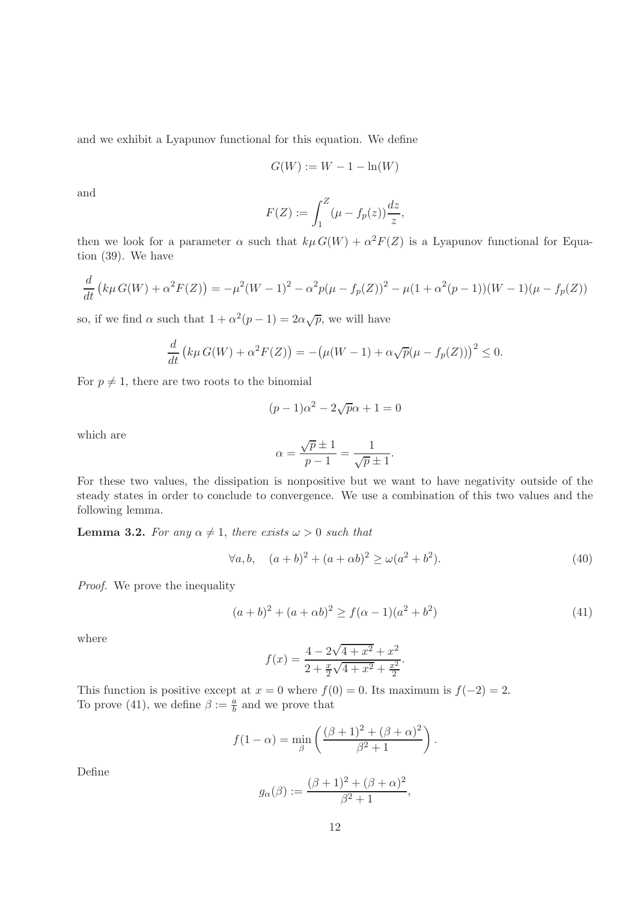and we exhibit a Lyapunov functional for this equation. We define

$$
G(W) := W - 1 - \ln(W)
$$

and

$$
F(Z) := \int_1^Z (\mu - f_p(z)) \frac{dz}{z},
$$

then we look for a parameter  $\alpha$  such that  $k\mu G(W) + \alpha^2 F(Z)$  is a Lyapunov functional for Equation (39). We have

$$
\frac{d}{dt} \left( k\mu G(W) + \alpha^2 F(Z) \right) = -\mu^2 (W - 1)^2 - \alpha^2 p(\mu - f_p(Z))^2 - \mu (1 + \alpha^2 (p - 1))(W - 1)(\mu - f_p(Z))
$$

so, if we find  $\alpha$  such that  $1 + \alpha^2(p-1) = 2\alpha\sqrt{p}$ , we will have

$$
\frac{d}{dt} \left( k\mu \, G(W) + \alpha^2 F(Z) \right) = -\left( \mu(W - 1) + \alpha \sqrt{p} (\mu - f_p(Z)) \right)^2 \le 0.
$$

For  $p \neq 1$ , there are two roots to the binomial

$$
(p-1)\alpha^2 - 2\sqrt{p}\alpha + 1 = 0
$$

which are

$$
\alpha = \frac{\sqrt{p} \pm 1}{p - 1} = \frac{1}{\sqrt{p} \pm 1}.
$$

For these two values, the dissipation is nonpositive but we want to have negativity outside of the steady states in order to conclude to convergence. We use a combination of this two values and the following lemma.

**Lemma 3.2.** For any  $\alpha \neq 1$ , there exists  $\omega > 0$  such that

$$
\forall a, b, \quad (a+b)^2 + (a+\alpha b)^2 \ge \omega(a^2 + b^2). \tag{40}
$$

Proof. We prove the inequality

$$
(a+b)^2 + (a+\alpha b)^2 \ge f(\alpha-1)(a^2+b^2)
$$
\n(41)

.

,

where

$$
f(x) = \frac{4 - 2\sqrt{4 + x^2} + x^2}{2 + \frac{x}{2}\sqrt{4 + x^2} + \frac{x^2}{2}}.
$$

This function is positive except at  $x = 0$  where  $f(0) = 0$ . Its maximum is  $f(-2) = 2$ . To prove (41), we define  $\beta := \frac{a}{b}$  and we prove that

$$
f(1 - \alpha) = \min_{\beta} \left( \frac{(\beta + 1)^2 + (\beta + \alpha)^2}{\beta^2 + 1} \right)
$$

Define

$$
g_{\alpha}(\beta) := \frac{(\beta + 1)^2 + (\beta + \alpha)^2}{\beta^2 + 1}
$$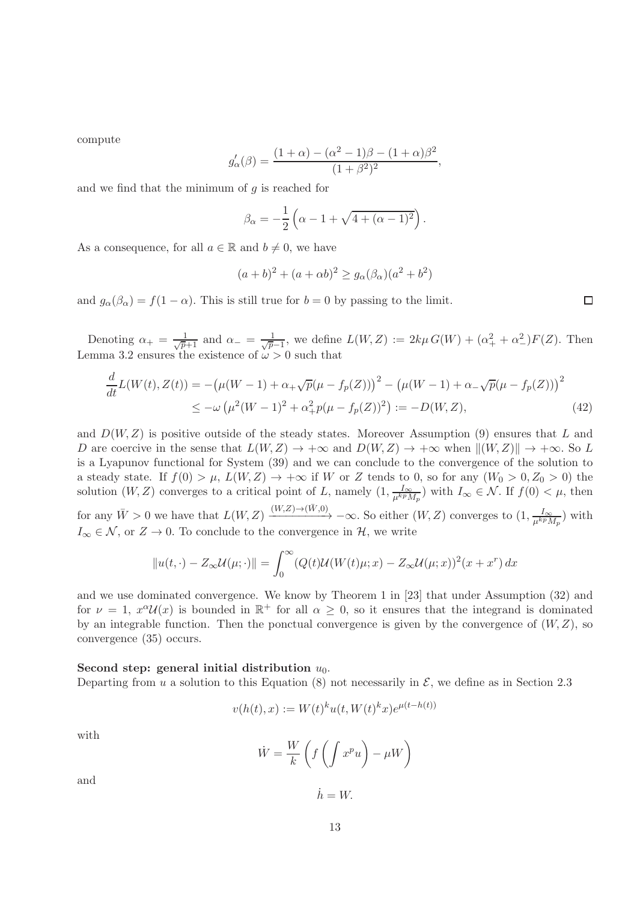compute

$$
g'_{\alpha}(\beta) = \frac{(1+\alpha) - (\alpha^2 - 1)\beta - (1+\alpha)\beta^2}{(1+\beta^2)^2},
$$

and we find that the minimum of  $q$  is reached for

$$
\beta_{\alpha} = -\frac{1}{2} \left( \alpha - 1 + \sqrt{4 + (\alpha - 1)^2} \right).
$$

As a consequence, for all  $a \in \mathbb{R}$  and  $b \neq 0$ , we have

$$
(a+b)^2 + (a+\alpha b)^2 \ge g_\alpha(\beta_\alpha)(a^2 + b^2)
$$

and  $g_{\alpha}(\beta_{\alpha}) = f(1-\alpha)$ . This is still true for  $b = 0$  by passing to the limit.

Denoting  $\alpha_+ = \frac{1}{\sqrt{p+1}}$  and  $\alpha_- = \frac{1}{\sqrt{p+1}}$  $\frac{1}{\overline{p}-1}$ , we define  $L(W,Z) := 2k\mu G(W) + (\alpha_+^2 + \alpha_-^2)F(Z)$ . Then Lemma 3.2 ensures the existence of  $\omega > 0$  such that

$$
\frac{d}{dt}L(W(t), Z(t)) = -(\mu(W - 1) + \alpha_+\sqrt{p}(\mu - f_p(Z)))^2 - (\mu(W - 1) + \alpha_-\sqrt{p}(\mu - f_p(Z)))^2
$$
\n
$$
\leq -\omega \left(\mu^2(W - 1)^2 + \alpha_+^2 p(\mu - f_p(Z))^2\right) := -D(W, Z),
$$
\n(42)

and  $D(W, Z)$  is positive outside of the steady states. Moreover Assumption (9) ensures that L and D are coercive in the sense that  $L(W, Z) \to +\infty$  and  $D(W, Z) \to +\infty$  when  $||(W, Z)|| \to +\infty$ . So L is a Lyapunov functional for System (39) and we can conclude to the convergence of the solution to a steady state. If  $f(0) > \mu$ ,  $L(W, Z) \to +\infty$  if W or Z tends to 0, so for any  $(W_0 > 0, Z_0 > 0)$  the solution  $(W, Z)$  converges to a critical point of L, namely  $(1, \frac{I_{\infty}}{\mu^{kp}M_p})$  with  $I_{\infty} \in \mathcal{N}$ . If  $f(0) < \mu$ , then for any  $\bar{W} > 0$  we have that  $L(W, Z) \xrightarrow{(W, Z) \to (\bar{W}, 0)} -\infty$ . So either  $(W, Z)$  converges to  $(1, \frac{I_{\infty}}{\mu^{kp} M_p})$  with  $I_{\infty} \in \mathcal{N}$ , or  $Z \to 0$ . To conclude to the convergence in  $\mathcal{H}$ , we write

$$
||u(t,\cdot)-Z_{\infty}\mathcal{U}(\mu;\cdot)|| = \int_0^{\infty} (Q(t)\mathcal{U}(W(t)\mu;x) - Z_{\infty}\mathcal{U}(\mu;x))^2 (x+x^r) dx
$$

and we use dominated convergence. We know by Theorem 1 in [23] that under Assumption (32) and for  $\nu = 1$ ,  $x^{\alpha}U(x)$  is bounded in  $\mathbb{R}^+$  for all  $\alpha \geq 0$ , so it ensures that the integrand is dominated by an integrable function. Then the ponctual convergence is given by the convergence of  $(W, Z)$ , so convergence (35) occurs.

#### Second step: general initial distribution  $u_0$ .

Departing from u a solution to this Equation (8) not necessarily in  $\mathcal{E}$ , we define as in Section 2.3

$$
v(h(t),x) := W(t)^k u(t, W(t)^k x) e^{\mu(t - h(t))}
$$

with

$$
\dot{W} = \frac{W}{k} \left( f \left( \int x^p u \right) - \mu W \right)
$$

and

$$
\dot{h} = W.
$$
  
13

$$
\Box
$$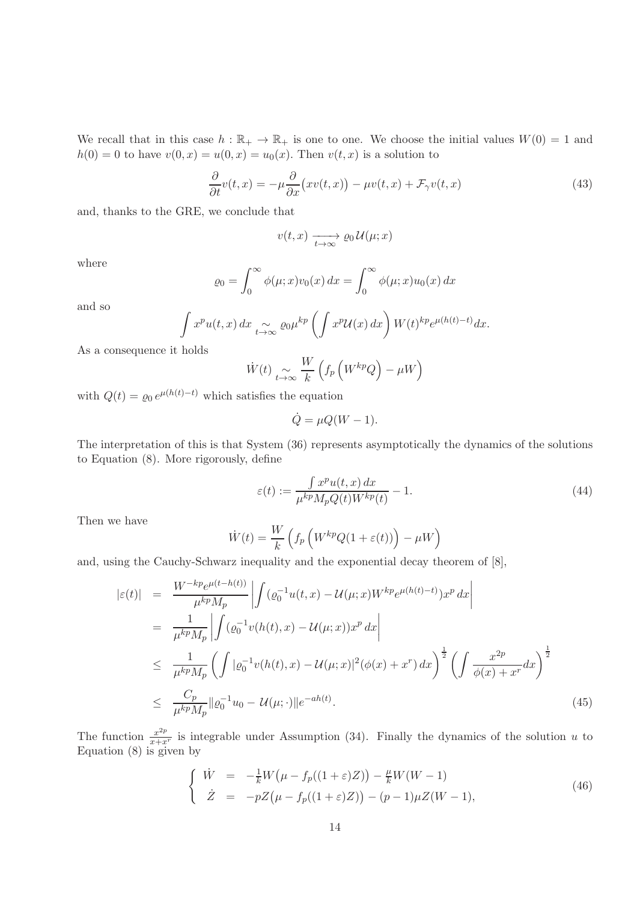We recall that in this case  $h : \mathbb{R}_+ \to \mathbb{R}_+$  is one to one. We choose the initial values  $W(0) = 1$  and  $h(0) = 0$  to have  $v(0, x) = u(0, x) = u_0(x)$ . Then  $v(t, x)$  is a solution to

$$
\frac{\partial}{\partial t}v(t,x) = -\mu \frac{\partial}{\partial x}(xv(t,x)) - \mu v(t,x) + \mathcal{F}_{\gamma}v(t,x)
$$
\n(43)

and, thanks to the GRE, we conclude that

$$
v(t,x) \xrightarrow[t \to \infty]{} \varrho_0 \mathcal{U}(\mu;x)
$$

where

$$
\varrho_0 = \int_0^\infty \phi(\mu; x) v_0(x) dx = \int_0^\infty \phi(\mu; x) u_0(x) dx
$$

and so

$$
\int x^p u(t,x) dx \underset{t \to \infty}{\sim} \varrho_0 \mu^{kp} \left( \int x^p \mathcal{U}(x) dx \right) W(t)^{kp} e^{\mu(h(t)-t)} dx.
$$

As a consequence it holds

$$
\dot{W}(t) \underset{t \to \infty}{\sim} \frac{W}{k} \left( f_p \left( W^{kp} Q \right) - \mu W \right)
$$

with  $Q(t) = \varrho_0 e^{\mu(h(t)-t)}$  which satisfies the equation

$$
\dot{Q} = \mu Q(W - 1).
$$

The interpretation of this is that System (36) represents asymptotically the dynamics of the solutions to Equation (8). More rigorously, define

$$
\varepsilon(t) := \frac{\int x^p u(t, x) dx}{\mu^{kp} M_p Q(t) W^{kp}(t)} - 1.
$$
\n(44)

Then we have

$$
\dot{W}(t) = \frac{W}{k} \left( f_p \left( W^{kp} Q(1 + \varepsilon(t)) \right) - \mu W \right)
$$

and, using the Cauchy-Schwarz inequality and the exponential decay theorem of [8],

$$
\begin{split}\n|\varepsilon(t)| &= \frac{W^{-kp}e^{\mu(t-h(t))}}{\mu^{kp}M_p} \left| \int (\varrho_0^{-1}u(t,x) - \mathcal{U}(\mu;x)W^{kp}e^{\mu(h(t)-t)})x^p \,dx \right| \\
&= \frac{1}{\mu^{kp}M_p} \left| \int (\varrho_0^{-1}v(h(t),x) - \mathcal{U}(\mu;x))x^p \,dx \right| \\
&\leq \frac{1}{\mu^{kp}M_p} \left( \int |\varrho_0^{-1}v(h(t),x) - \mathcal{U}(\mu;x)|^2(\phi(x) + x^r) \,dx \right)^{\frac{1}{2}} \left( \int \frac{x^{2p}}{\phi(x) + x^r} dx \right)^{\frac{1}{2}} \\
&\leq \frac{C_p}{\mu^{kp}M_p} \|\varrho_0^{-1}u_0 - \mathcal{U}(\mu;\cdot)\|e^{-ah(t)}.\n\end{split} \tag{45}
$$

The function  $\frac{x^{2p}}{x+x^r}$  is integrable under Assumption (34). Finally the dynamics of the solution u to Equation (8) is given by

$$
\begin{cases}\n\dot{W} = -\frac{1}{k}W(\mu - f_p((1+\varepsilon)Z)) - \frac{\mu}{k}W(W-1) \\
\dot{Z} = -pZ(\mu - f_p((1+\varepsilon)Z)) - (p-1)\mu Z(W-1),\n\end{cases}
$$
\n(46)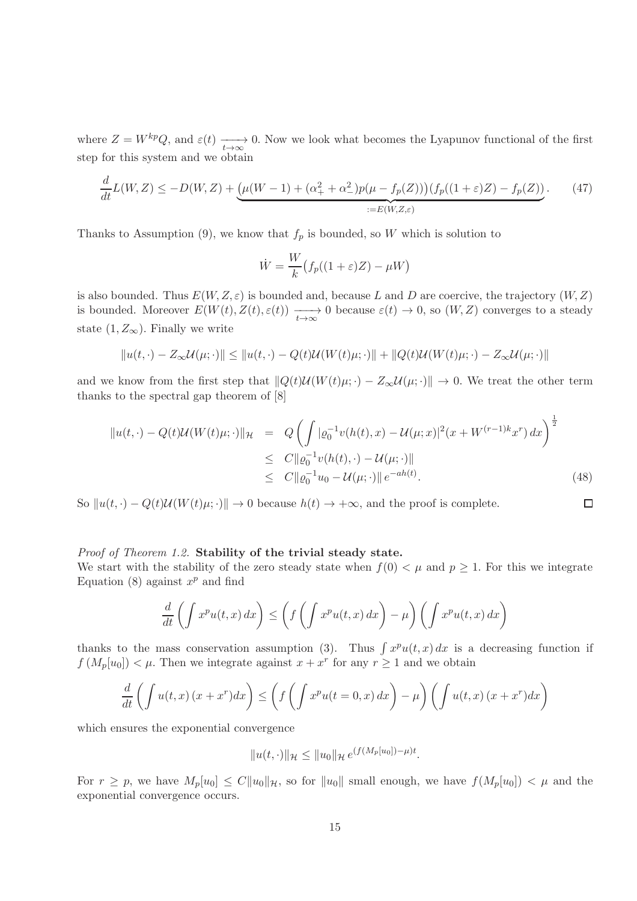where  $Z = W^{kp}Q$ , and  $\varepsilon(t) \longrightarrow$ 0. Now we look what becomes the Lyapunov functional of the first step for this system and we obtain

$$
\frac{d}{dt}L(W,Z) \le -D(W,Z) + \underbrace{\left(\mu(W-1) + (\alpha_+^2 + \alpha_-^2)p(\mu - f_p(Z))\right)(f_p((1+\varepsilon)Z) - f_p(Z))}_{:=E(W,Z,\varepsilon)}.
$$
\n(47)

Thanks to Assumption (9), we know that  $f_p$  is bounded, so W which is solution to

$$
\dot{W} = \frac{W}{k} \big( f_p((1+\varepsilon)Z) - \mu W \big)
$$

is also bounded. Thus  $E(W, Z, \varepsilon)$  is bounded and, because L and D are coercive, the trajectory  $(W, Z)$ is bounded. Moreover  $E(W(t), Z(t), \varepsilon(t)) \longrightarrow 0$  because  $\varepsilon(t) \to 0$ , so  $(W, Z)$  converges to a steady state  $(1, Z_{\infty})$ . Finally we write

$$
||u(t,\cdot)-Z_{\infty}\mathcal{U}(\mu;\cdot)|| \leq ||u(t,\cdot)-Q(t)\mathcal{U}(W(t)\mu;\cdot)|| + ||Q(t)\mathcal{U}(W(t)\mu;\cdot)-Z_{\infty}\mathcal{U}(\mu;\cdot)||
$$

and we know from the first step that  $||Q(t)U(W(t)\mu; \cdot) - Z_{\infty}U(\mu; \cdot)|| \to 0$ . We treat the other term thanks to the spectral gap theorem of [8]

$$
\|u(t,\cdot) - Q(t)U(W(t)\mu;\cdot)\|_{\mathcal{H}} = Q\left(\int |\varrho_0^{-1}v(h(t),x) - U(\mu;x)|^2(x + W^{(r-1)k}x^r) dx\right)^{\frac{1}{2}}
$$
  
\n
$$
\leq C\|\varrho_0^{-1}v(h(t),\cdot) - U(\mu;\cdot)\|
$$
  
\n
$$
\leq C\|\varrho_0^{-1}u_0 - U(\mu;\cdot)\|e^{-ah(t)}.
$$
\n(48)

 $\Box$ 

So  $||u(t, \cdot) - Q(t)U(W(t)\mu; \cdot)|| \to 0$  because  $h(t) \to +\infty$ , and the proof is complete.

### Proof of Theorem 1.2. Stability of the trivial steady state.

We start with the stability of the zero steady state when  $f(0) < \mu$  and  $p \ge 1$ . For this we integrate Equation (8) against  $x^p$  and find

$$
\frac{d}{dt}\left(\int x^p u(t,x)\,dx\right) \le \left(f\left(\int x^p u(t,x)\,dx\right) - \mu\right)\left(\int x^p u(t,x)\,dx\right)
$$

thanks to the mass conservation assumption (3). Thus  $\int x^p u(t, x) dx$  is a decreasing function if  $f(M_p[u_0]) < \mu$ . Then we integrate against  $x + x^r$  for any  $r \ge 1$  and we obtain

$$
\frac{d}{dt}\left(\int u(t,x)(x+x^r)dx\right) \le \left(f\left(\int x^p u(t=0,x)\,dx\right) - \mu\right)\left(\int u(t,x)(x+x^r)dx\right)
$$

which ensures the exponential convergence

$$
||u(t,\cdot)||_{\mathcal{H}} \leq ||u_0||_{\mathcal{H}} e^{(f(M_p[u_0])-\mu)t}.
$$

For  $r \geq p$ , we have  $M_p[u_0] \leq C ||u_0||_{\mathcal{H}}$ , so for  $||u_0||$  small enough, we have  $f(M_p[u_0]) < \mu$  and the exponential convergence occurs.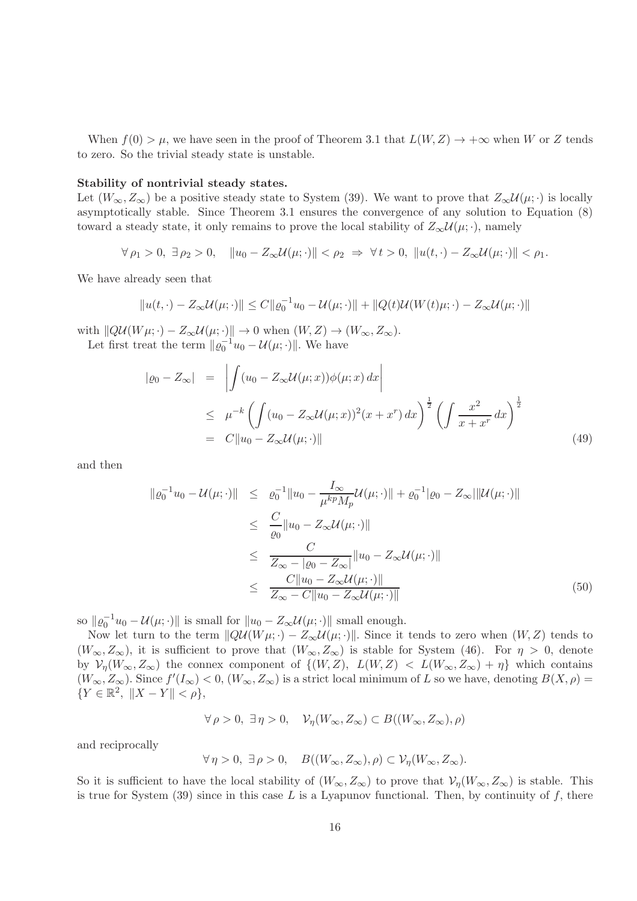When  $f(0) > \mu$ , we have seen in the proof of Theorem 3.1 that  $L(W, Z) \to +\infty$  when W or Z tends to zero. So the trivial steady state is unstable.

### Stability of nontrivial steady states.

Let  $(W_{\infty}, Z_{\infty})$  be a positive steady state to System (39). We want to prove that  $Z_{\infty} \mathcal{U}(\mu; \cdot)$  is locally asymptotically stable. Since Theorem 3.1 ensures the convergence of any solution to Equation (8) toward a steady state, it only remains to prove the local stability of  $Z_{\infty} \mathcal{U}(\mu; \cdot)$ , namely

 $\forall \rho_1 > 0, \exists \rho_2 > 0, \quad ||u_0 - Z_{\infty} \mathcal{U}(\mu; \cdot)|| < \rho_2 \Rightarrow \forall t > 0, \ ||u(t, \cdot) - Z_{\infty} \mathcal{U}(\mu; \cdot)|| < \rho_1.$ 

We have already seen that

$$
||u(t,\cdot)-Z_{\infty}\mathcal{U}(\mu;\cdot)|| \leq C||\varrho_0^{-1}u_0 - \mathcal{U}(\mu;\cdot)|| + ||Q(t)\mathcal{U}(W(t)\mu;\cdot) - Z_{\infty}\mathcal{U}(\mu;\cdot)||
$$

with  $||Q\mathcal{U}(W\mu;\cdot) - Z_{\infty}\mathcal{U}(\mu;\cdot)|| \to 0$  when  $(W, Z) \to (W_{\infty}, Z_{\infty})$ . Let first treat the term  $||\varrho_0^{-1}u_0 - \mathcal{U}(\mu; \cdot)||$ . We have

$$
| \varrho_0 - Z_{\infty} | = \left| \int (u_0 - Z_{\infty} \mathcal{U}(\mu; x)) \phi(\mu; x) dx \right|
$$
  
\n
$$
\leq \mu^{-k} \left( \int (u_0 - Z_{\infty} \mathcal{U}(\mu; x))^2 (x + x^r) dx \right)^{\frac{1}{2}} \left( \int \frac{x^2}{x + x^r} dx \right)^{\frac{1}{2}}
$$
  
\n
$$
= C \| u_0 - Z_{\infty} \mathcal{U}(\mu; \cdot) \|
$$
\n(49)

and then

$$
\| \varrho_0^{-1} u_0 - \mathcal{U}(\mu; \cdot) \| \leq \varrho_0^{-1} \| u_0 - \frac{I_{\infty}}{\mu^{kp} M_p} \mathcal{U}(\mu; \cdot) \| + \varrho_0^{-1} |\varrho_0 - Z_{\infty}| \| \mathcal{U}(\mu; \cdot) \|
$$
  
\n
$$
\leq \frac{C}{\varrho_0} \| u_0 - Z_{\infty} \mathcal{U}(\mu; \cdot) \|
$$
  
\n
$$
\leq \frac{C}{Z_{\infty} - |\varrho_0 - Z_{\infty}|} \| u_0 - Z_{\infty} \mathcal{U}(\mu; \cdot) \|
$$
  
\n
$$
\leq \frac{C \| u_0 - Z_{\infty} \mathcal{U}(\mu; \cdot) \|}{Z_{\infty} - C \| u_0 - Z_{\infty} \mathcal{U}(\mu; \cdot) \|}
$$
 (50)

so  $\|\varrho_0^{-1}u_0 - \mathcal{U}(\mu;\cdot)\|$  is small for  $\|u_0 - Z_{\infty}\mathcal{U}(\mu;\cdot)\|$  small enough.

Now let turn to the term  $\|Q\mathcal{U}(W\mu;\cdot) - Z_{\infty}\mathcal{U}(\mu;\cdot)\|$ . Since it tends to zero when  $(W, Z)$  tends to  $(W_{\infty}, Z_{\infty})$ , it is sufficient to prove that  $(W_{\infty}, Z_{\infty})$  is stable for System (46). For  $\eta > 0$ , denote by  $\mathcal{V}_\eta(W_\infty, Z_\infty)$  the connex component of  $\{(W, Z), L(W, Z) < L(W_\infty, Z_\infty) + \eta\}$  which contains  $(W_{\infty}, Z_{\infty})$ . Since  $f'(I_{\infty}) < 0$ ,  $(W_{\infty}, Z_{\infty})$  is a strict local minimum of L so we have, denoting  $B(X, \rho) =$  ${Y \in \mathbb{R}^2, \|X - Y\| < \rho},$ 

 $\forall \rho > 0, \exists \eta > 0, \quad \mathcal{V}_n(W_\infty, Z_\infty) \subset B((W_\infty, Z_\infty), \rho)$ 

and reciprocally

$$
\forall \eta > 0, \ \exists \rho > 0, \quad B((W_{\infty}, Z_{\infty}), \rho) \subset \mathcal{V}_{\eta}(W_{\infty}, Z_{\infty}).
$$

So it is sufficient to have the local stability of  $(W_{\infty}, Z_{\infty})$  to prove that  $\mathcal{V}_n(W_{\infty}, Z_{\infty})$  is stable. This is true for System  $(39)$  since in this case L is a Lyapunov functional. Then, by continuity of f, there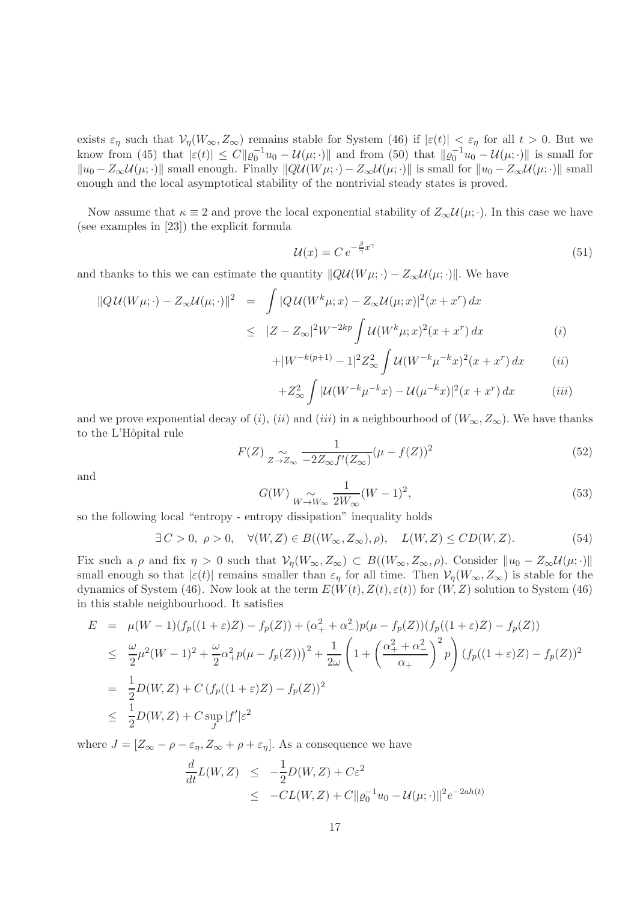exists  $\varepsilon_{\eta}$  such that  $V_{\eta}(W_{\infty}, Z_{\infty})$  remains stable for System (46) if  $|\varepsilon(t)| < \varepsilon_{\eta}$  for all  $t > 0$ . But we know from (45) that  $|\varepsilon(t)| \leq C ||\varrho_0^{-1} u_0 - \mathcal{U}(\mu; \cdot)||$  and from (50) that  $||\varrho_0^{-1} u_0 - \mathcal{U}(\mu; \cdot)||$  is small for  $\|u_0 - Z_\infty \mathcal{U}(\mu; \cdot)\|$  small enough. Finally  $\|\mathcal{QU}(W\mu; \cdot) - Z_\infty \mathcal{U}(\mu; \cdot)\|$  is small for  $\|u_0 - Z_\infty \mathcal{U}(\mu; \cdot)\|$  small enough and the local asymptotical stability of the nontrivial steady states is proved.

Now assume that  $\kappa \equiv 2$  and prove the local exponential stability of  $Z_{\infty} \mathcal{U}(\mu;\cdot)$ . In this case we have (see examples in [23]) the explicit formula

$$
\mathcal{U}(x) = C e^{-\frac{\beta}{\gamma}x^{\gamma}}
$$
\n(51)

and thanks to this we can estimate the quantity  $\|Q\mathcal{U}(W\mu;\cdot) - Z_{\infty}\mathcal{U}(\mu;\cdot)\|$ . We have

$$
\|Q\mathcal{U}(W\mu;\cdot) - Z_{\infty}\mathcal{U}(\mu;\cdot)\|^2 = \int |Q\mathcal{U}(W^k\mu;x) - Z_{\infty}\mathcal{U}(\mu;x)|^2(x+x^r) dx
$$
  
\n
$$
\leq |Z - Z_{\infty}|^2 W^{-2kp} \int \mathcal{U}(W^k\mu;x)^2(x+x^r) dx
$$
 (i)  
\n
$$
W^{-k(n+1)} = 12\pi^2 \int \mathcal{U}(W^{k-1}x^r) dx
$$

$$
+|W^{-k(p+1)} - 1|^2 Z_{\infty}^2 \int \mathcal{U}(W^{-k} \mu^{-k} x)^2 (x + x^r) dx \qquad (ii)
$$

$$
+Z_{\infty}^2 \int |\mathcal{U}(W^{-k}\mu^{-k}x) - \mathcal{U}(\mu^{-k}x)|^2(x+x^r) dx \qquad (iii)
$$

and we prove exponential decay of (i), (ii) and (iii) in a neighbourhood of  $(W_{\infty}, Z_{\infty})$ . We have thanks to the L'Hôpital rule

$$
F(Z) \underset{Z \to Z_{\infty}}{\sim} \frac{1}{-2Z_{\infty}f'(Z_{\infty})} (\mu - f(Z))^2
$$
 (52)

and

$$
G(W) \underset{W \to W_{\infty}}{\sim} \frac{1}{2W_{\infty}} (W - 1)^2,
$$
\n
$$
(53)
$$

so the following local "entropy - entropy dissipation" inequality holds

$$
\exists C > 0, \ \rho > 0, \quad \forall (W, Z) \in B((W_{\infty}, Z_{\infty}), \rho), \quad L(W, Z) \le CD(W, Z). \tag{54}
$$

Fix such a  $\rho$  and fix  $\eta > 0$  such that  $\mathcal{V}_{\eta}(W_{\infty}, Z_{\infty}) \subset B((W_{\infty}, Z_{\infty}, \rho)$ . Consider  $||u_0 - Z_{\infty}\mathcal{U}(\mu;\cdot)||$ small enough so that  $|\varepsilon(t)|$  remains smaller than  $\varepsilon_{\eta}$  for all time. Then  $\mathcal{V}_{\eta}(W_{\infty}, Z_{\infty})$  is stable for the dynamics of System (46). Now look at the term  $E(W(t), Z(t), \varepsilon(t))$  for  $(W, Z)$  solution to System (46) in this stable neighbourhood. It satisfies

$$
E = \mu(W - 1)(f_p((1 + \varepsilon)Z) - f_p(Z)) + (\alpha_+^2 + \alpha_-^2)p(\mu - f_p(Z))(f_p((1 + \varepsilon)Z) - f_p(Z))
$$
  
\n
$$
\leq \frac{\omega}{2}\mu^2(W - 1)^2 + \frac{\omega}{2}\alpha_+^2p(\mu - f_p(Z)))^2 + \frac{1}{2\omega}\left(1 + \left(\frac{\alpha_+^2 + \alpha_-^2}{\alpha_+}\right)^2p\right)(f_p((1 + \varepsilon)Z) - f_p(Z))^2
$$
  
\n
$$
= \frac{1}{2}D(W, Z) + C\left(f_p((1 + \varepsilon)Z) - f_p(Z)\right)^2
$$
  
\n
$$
\leq \frac{1}{2}D(W, Z) + C\sup_{J}|f'|\varepsilon^2
$$

where  $J = [Z_{\infty} - \rho - \varepsilon_{\eta}, Z_{\infty} + \rho + \varepsilon_{\eta}]$ . As a consequence we have

$$
\frac{d}{dt}L(W,Z) \leq -\frac{1}{2}D(W,Z) + C\varepsilon^2
$$
\n
$$
\leq -CL(W,Z) + C||\varrho_0^{-1}u_0 - \mathcal{U}(\mu;\cdot)||^2 e^{-2ah(t)}
$$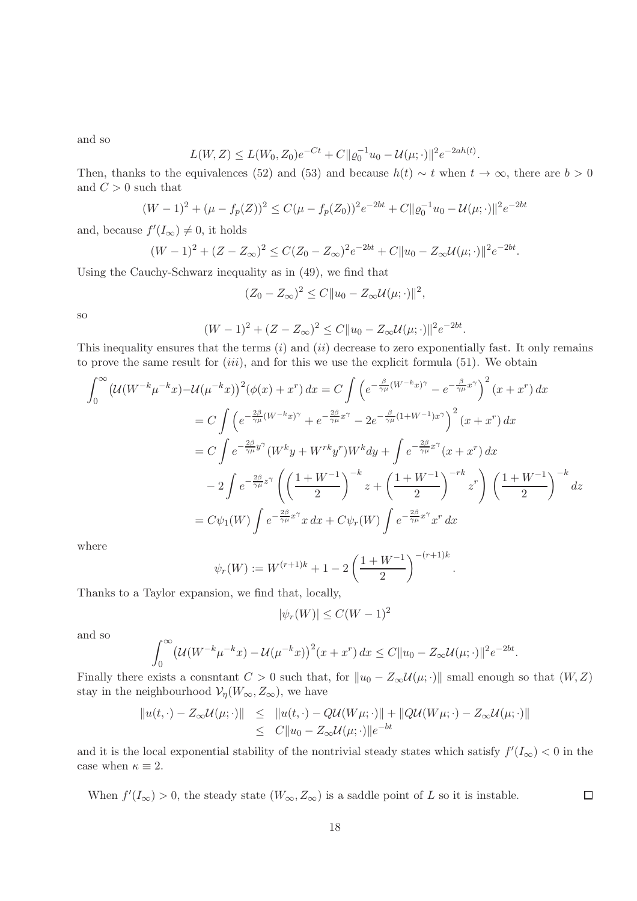and so

$$
L(W, Z) \le L(W_0, Z_0)e^{-Ct} + C||\varrho_0^{-1}u_0 - \mathcal{U}(\mu; \cdot)||^2 e^{-2ah(t)}
$$

.

.

 $\Box$ 

Then, thanks to the equivalences (52) and (53) and because  $h(t) \sim t$  when  $t \to \infty$ , there are  $b > 0$ and  $C > 0$  such that

$$
(W-1)^2 + (\mu - f_p(Z))^2 \le C(\mu - f_p(Z_0))^2 e^{-2bt} + C||\varrho_0^{-1}u_0 - \mathcal{U}(\mu; \cdot)||^2 e^{-2bt}
$$

and, because  $f'(I_{\infty}) \neq 0$ , it holds

$$
(W-1)^{2} + (Z - Z_{\infty})^{2} \leq C(Z_{0} - Z_{\infty})^{2} e^{-2bt} + C \|u_{0} - Z_{\infty} \mathcal{U}(\mu; \cdot)\|^{2} e^{-2bt}.
$$

Using the Cauchy-Schwarz inequality as in (49), we find that

$$
(Z_0 - Z_{\infty})^2 \leq C \|u_0 - Z_{\infty} \mathcal{U}(\mu; \cdot)\|^2,
$$

so

$$
(W-1)^{2} + (Z - Z_{\infty})^{2} \leq C \|u_{0} - Z_{\infty} \mathcal{U}(\mu; \cdot)\|^{2} e^{-2bt}.
$$

This inequality ensures that the terms  $(i)$  and  $(ii)$  decrease to zero exponentially fast. It only remains to prove the same result for  $(iii)$ , and for this we use the explicit formula (51). We obtain

$$
\int_0^\infty \left(\mathcal{U}(W^{-k}\mu^{-k}x) - \mathcal{U}(\mu^{-k}x)\right)^2 (\phi(x) + x^r) dx = C \int \left(e^{-\frac{\beta}{\gamma\mu}(W^{-k}x)^{\gamma}} - e^{-\frac{\beta}{\gamma\mu}x^{\gamma}}\right)^2 (x + x^r) dx
$$
  
\n
$$
= C \int \left(e^{-\frac{2\beta}{\gamma\mu}(W^{-k}x)^{\gamma}} + e^{-\frac{2\beta}{\gamma\mu}x^{\gamma}} - 2e^{-\frac{\beta}{\gamma\mu}(1+W^{-1})x^{\gamma}}\right)^2 (x + x^r) dx
$$
  
\n
$$
= C \int e^{-\frac{2\beta}{\gamma\mu}y^{\gamma}} (W^k y + W^{rk} y^r) W^k dy + \int e^{-\frac{2\beta}{\gamma\mu}x^{\gamma}} (x + x^r) dx
$$
  
\n
$$
- 2 \int e^{-\frac{2\beta}{\gamma\mu}z^{\gamma}} \left(\left(\frac{1+W^{-1}}{2}\right)^{-k} z + \left(\frac{1+W^{-1}}{2}\right)^{-rk} z^r\right) \left(\frac{1+W^{-1}}{2}\right)^{-k} dz
$$
  
\n
$$
= C\psi_1(W) \int e^{-\frac{2\beta}{\gamma\mu}x^{\gamma}} x dx + C\psi_r(W) \int e^{-\frac{2\beta}{\gamma\mu}x^{\gamma}} x^r dx
$$

where

$$
\psi_r(W) := W^{(r+1)k} + 1 - 2\left(\frac{1+W^{-1}}{2}\right)^{-(r+1)k}
$$

Thanks to a Taylor expansion, we find that, locally,

$$
|\psi_r(W)| \le C(W-1)^2
$$

and so

$$
\int_0^{\infty} \left( \mathcal{U}(W^{-k}\mu^{-k}x) - \mathcal{U}(\mu^{-k}x) \right)^2 (x+x^r) \, dx \leq C \|u_0 - Z_{\infty} \mathcal{U}(\mu; \cdot) \|^2 e^{-2bt}.
$$

Finally there exists a consntant  $C > 0$  such that, for  $||u_0 - Z_{\infty} \mathcal{U}(\mu; \cdot)||$  small enough so that  $(W, Z)$ stay in the neighbourhood  $\mathcal{V}_{\eta}(W_{\infty}, Z_{\infty})$ , we have

$$
||u(t,\cdot)-Z_{\infty}\mathcal{U}(\mu;\cdot)|| \leq ||u(t,\cdot)-Q\mathcal{U}(W\mu;\cdot)|| + ||Q\mathcal{U}(W\mu;\cdot)-Z_{\infty}\mathcal{U}(\mu;\cdot)||
$$
  

$$
\leq C||u_0 - Z_{\infty}\mathcal{U}(\mu;\cdot)||e^{-bt}
$$

and it is the local exponential stability of the nontrivial steady states which satisfy  $f'(I_\infty) < 0$  in the case when  $\kappa \equiv 2$ .

When  $f'(I_{\infty}) > 0$ , the steady state  $(W_{\infty}, Z_{\infty})$  is a saddle point of L so it is instable.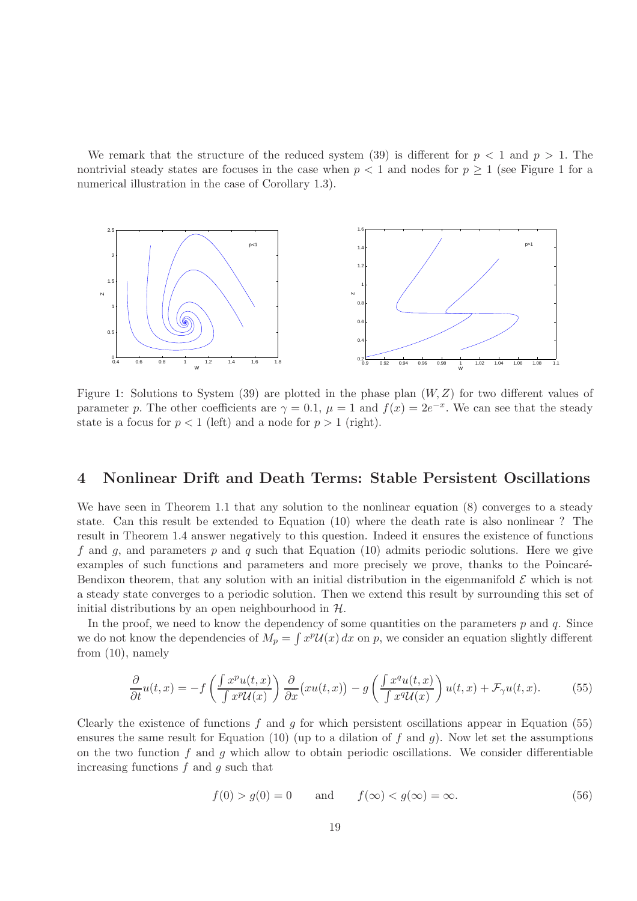We remark that the structure of the reduced system (39) is different for  $p < 1$  and  $p > 1$ . The nontrivial steady states are focuses in the case when  $p < 1$  and nodes for  $p \ge 1$  (see Figure 1 for a numerical illustration in the case of Corollary 1.3).



Figure 1: Solutions to System (39) are plotted in the phase plan  $(W, Z)$  for two different values of parameter p. The other coefficients are  $\gamma = 0.1$ ,  $\mu = 1$  and  $f(x) = 2e^{-x}$ . We can see that the steady state is a focus for  $p < 1$  (left) and a node for  $p > 1$  (right).

## 4 Nonlinear Drift and Death Terms: Stable Persistent Oscillations

We have seen in Theorem 1.1 that any solution to the nonlinear equation (8) converges to a steady state. Can this result be extended to Equation (10) where the death rate is also nonlinear ? The result in Theorem 1.4 answer negatively to this question. Indeed it ensures the existence of functions f and g, and parameters p and q such that Equation (10) admits periodic solutions. Here we give examples of such functions and parameters and more precisely we prove, thanks to the Poincaré-Bendixon theorem, that any solution with an initial distribution in the eigenmanifold  $\mathcal E$  which is not a steady state converges to a periodic solution. Then we extend this result by surrounding this set of initial distributions by an open neighbourhood in  $H$ .

In the proof, we need to know the dependency of some quantities on the parameters  $p$  and  $q$ . Since we do not know the dependencies of  $M_p = \int x^p \mathcal{U}(x) dx$  on p, we consider an equation slightly different from (10), namely

$$
\frac{\partial}{\partial t}u(t,x) = -f\left(\frac{\int x^p u(t,x)}{\int x^p \mathcal{U}(x)}\right)\frac{\partial}{\partial x}\big(xu(t,x)\big) - g\left(\frac{\int x^q u(t,x)}{\int x^q \mathcal{U}(x)}\right)u(t,x) + \mathcal{F}_\gamma u(t,x). \tag{55}
$$

Clearly the existence of functions f and q for which persistent oscillations appear in Equation (55) ensures the same result for Equation (10) (up to a dilation of f and g). Now let set the assumptions on the two function f and g which allow to obtain periodic oscillations. We consider differentiable increasing functions  $f$  and  $g$  such that

$$
f(0) > g(0) = 0 \quad \text{and} \quad f(\infty) < g(\infty) = \infty. \tag{56}
$$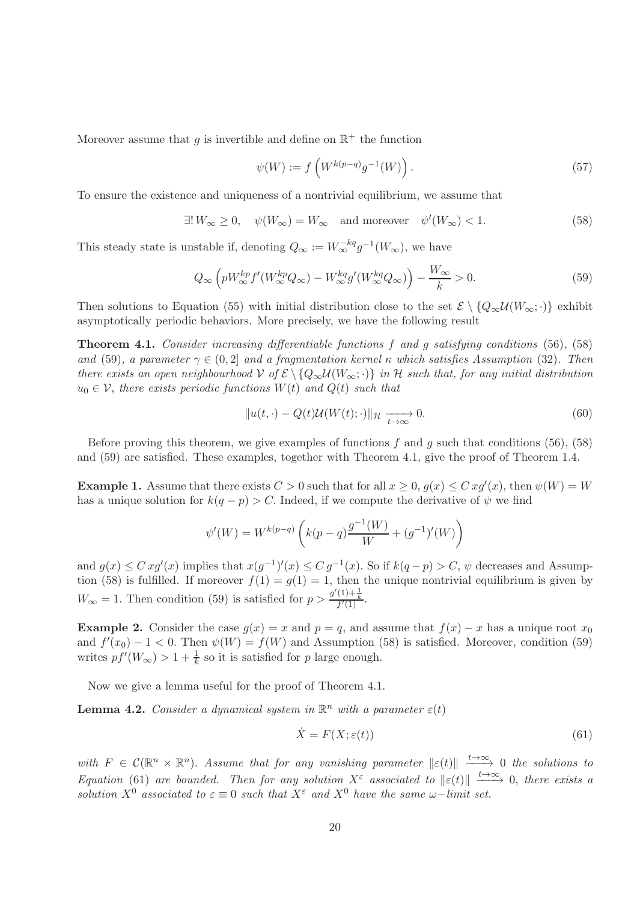Moreover assume that g is invertible and define on  $\mathbb{R}^+$  the function

$$
\psi(W) := f\left(W^{k(p-q)}g^{-1}(W)\right). \tag{57}
$$

To ensure the existence and uniqueness of a nontrivial equilibrium, we assume that

$$
\exists! \, W_{\infty} \ge 0, \quad \psi(W_{\infty}) = W_{\infty} \quad \text{and moreover} \quad \psi'(W_{\infty}) < 1. \tag{58}
$$

This steady state is unstable if, denoting  $Q_{\infty} := W_{\infty}^{-kq} g^{-1}(W_{\infty})$ , we have

$$
Q_{\infty}\left(pW_{\infty}^{kp}f'(W_{\infty}^{kp}Q_{\infty}) - W_{\infty}^{kq}g'(W_{\infty}^{kq}Q_{\infty})\right) - \frac{W_{\infty}}{k} > 0.
$$
\n(59)

Then solutions to Equation (55) with initial distribution close to the set  $\mathcal{E} \setminus \{Q_{\infty} \mathcal{U}(W_{\infty};\cdot)\}\)$  exhibit asymptotically periodic behaviors. More precisely, we have the following result

Theorem 4.1. Consider increasing differentiable functions f and g satisfying conditions (56), (58) and (59), a parameter  $\gamma \in (0, 2]$  and a fragmentation kernel  $\kappa$  which satisfies Assumption (32). Then there exists an open neighbourhood V of  $\mathcal{E} \setminus \{Q_{\infty} \mathcal{U}(W_{\infty};\cdot)\}\$ in H such that, for any initial distribution  $u_0 \in V$ , there exists periodic functions  $W(t)$  and  $Q(t)$  such that

$$
||u(t,\cdot) - Q(t)U(W(t);\cdot)||_{\mathcal{H}} \xrightarrow[t \to \infty]{} 0.
$$
\n(60)

Before proving this theorem, we give examples of functions f and q such that conditions  $(56)$ ,  $(58)$ and (59) are satisfied. These examples, together with Theorem 4.1, give the proof of Theorem 1.4.

**Example 1.** Assume that there exists  $C > 0$  such that for all  $x \ge 0$ ,  $g(x) \le C x g'(x)$ , then  $\psi(W) = W$ has a unique solution for  $k(q - p) > C$ . Indeed, if we compute the derivative of  $\psi$  we find

$$
\psi'(W) = W^{k(p-q)}\left(k(p-q)\frac{g^{-1}(W)}{W} + (g^{-1})'(W)\right)
$$

and  $g(x) \leq C x g'(x)$  implies that  $x(g^{-1})'(x) \leq C g^{-1}(x)$ . So if  $k(q-p) > C$ ,  $\psi$  decreases and Assumption (58) is fulfilled. If moreover  $f(1) = g(1) = 1$ , then the unique nontrivial equilibrium is given by  $W_{\infty} = 1$ . Then condition (59) is satisfied for  $p > \frac{g'(1) + \frac{1}{k}}{f'(1)}$ .

**Example 2.** Consider the case  $q(x) = x$  and  $p = q$ , and assume that  $f(x) - x$  has a unique root  $x_0$ and  $f'(x_0) - 1 < 0$ . Then  $\psi(W) = f(W)$  and Assumption (58) is satisfied. Moreover, condition (59) writes  $pf'(W_{\infty}) > 1 + \frac{1}{k}$  so it is satisfied for p large enough.

Now we give a lemma useful for the proof of Theorem 4.1.

**Lemma 4.2.** Consider a dynamical system in  $\mathbb{R}^n$  with a parameter  $\varepsilon(t)$ 

$$
\dot{X} = F(X; \varepsilon(t))\tag{61}
$$

with  $F \in \mathcal{C}(\mathbb{R}^n \times \mathbb{R}^n)$ . Assume that for any vanishing parameter  $\|\varepsilon(t)\| \xrightarrow{t\to\infty} 0$  the solutions to Equation (61) are bounded. Then for any solution  $X^{\varepsilon}$  associated to  $||\varepsilon(t)|| \xrightarrow{t\to\infty} 0$ , there exists a solution  $X^0$  associated to  $\varepsilon \equiv 0$  such that  $X^{\varepsilon}$  and  $X^0$  have the same  $\omega$ -limit set.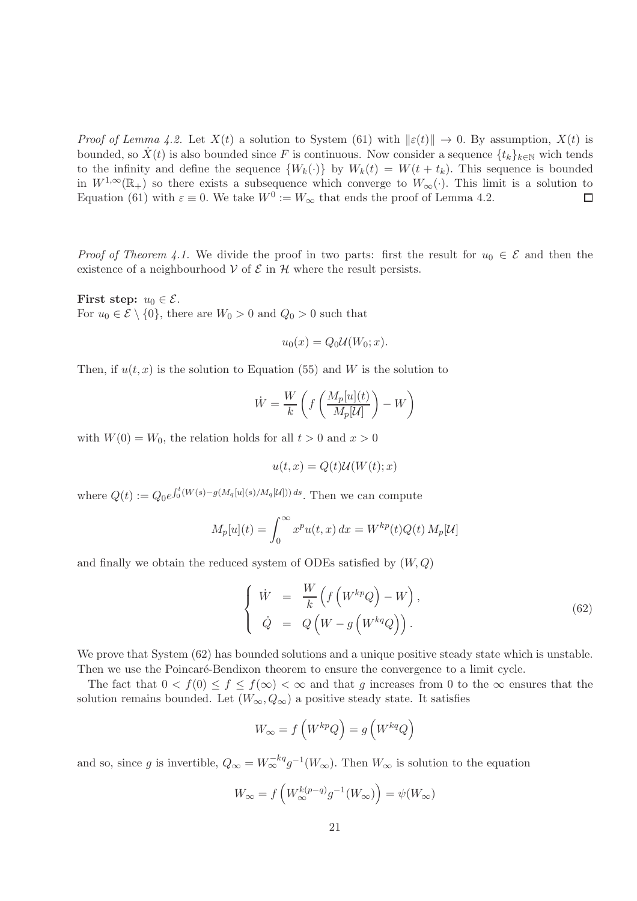*Proof of Lemma 4.2.* Let  $X(t)$  a solution to System (61) with  $\|\varepsilon(t)\| \to 0$ . By assumption,  $X(t)$  is bounded, so  $\dot{X}(t)$  is also bounded since F is continuous. Now consider a sequence  $\{t_k\}_{k\in\mathbb{N}}$  wich tends to the infinity and define the sequence  $\{W_k(\cdot)\}\;$  by  $W_k(t) = W(t + t_k)$ . This sequence is bounded in  $W^{1,\infty}(\mathbb{R}_+)$  so there exists a subsequence which converge to  $W_{\infty}(\cdot)$ . This limit is a solution to Equation (61) with  $\varepsilon \equiv 0$ . We take  $W^0 := W_{\infty}$  that ends the proof of Lemma 4.2. □ Equation (61) with  $\varepsilon \equiv 0$ . We take  $W^0 := W_{\infty}$  that ends the proof of Lemma 4.2.

*Proof of Theorem 4.1.* We divide the proof in two parts: first the result for  $u_0 \in \mathcal{E}$  and then the existence of a neighbourhood  $V$  of  $\mathcal E$  in  $\mathcal H$  where the result persists.

First step:  $u_0 \in \mathcal{E}$ . For  $u_0 \in \mathcal{E} \setminus \{0\}$ , there are  $W_0 > 0$  and  $Q_0 > 0$  such that

$$
u_0(x) = Q_0 \mathcal{U}(W_0; x).
$$

Then, if  $u(t, x)$  is the solution to Equation (55) and W is the solution to

$$
\dot{W} = \frac{W}{k} \left( f \left( \frac{M_p[u](t)}{M_p[\mathcal{U}]} \right) - W \right)
$$

with  $W(0) = W_0$ , the relation holds for all  $t > 0$  and  $x > 0$ 

$$
u(t,x) = Q(t)\mathcal{U}(W(t);x)
$$

where  $Q(t) := Q_0 e^{\int_0^t (W(s) - g(M_q[u](s)/M_q[u])) ds}$ . Then we can compute

$$
M_p[u](t) = \int_0^\infty x^p u(t, x) dx = W^{kp}(t)Q(t) M_p[\mathcal{U}]
$$

and finally we obtain the reduced system of ODEs satisfied by  $(W, Q)$ 

$$
\begin{cases}\n\dot{W} = \frac{W}{k} \left( f \left( W^{kp} Q \right) - W \right), \\
\dot{Q} = Q \left( W - g \left( W^{kq} Q \right) \right).\n\end{cases} \tag{62}
$$

We prove that System  $(62)$  has bounded solutions and a unique positive steady state which is unstable. Then we use the Poincaré-Bendixon theorem to ensure the convergence to a limit cycle.

The fact that  $0 < f(0) \le f \le f(\infty) < \infty$  and that g increases from 0 to the  $\infty$  ensures that the solution remains bounded. Let  $(W_{\infty}, Q_{\infty})$  a positive steady state. It satisfies

$$
W_{\infty} = f\left(W^{kp}Q\right) = g\left(W^{kq}Q\right)
$$

and so, since g is invertible,  $Q_{\infty} = W_{\infty}^{-kq} g^{-1}(W_{\infty})$ . Then  $W_{\infty}$  is solution to the equation

$$
W_{\infty} = f\left(W_{\infty}^{k(p-q)}g^{-1}(W_{\infty})\right) = \psi(W_{\infty})
$$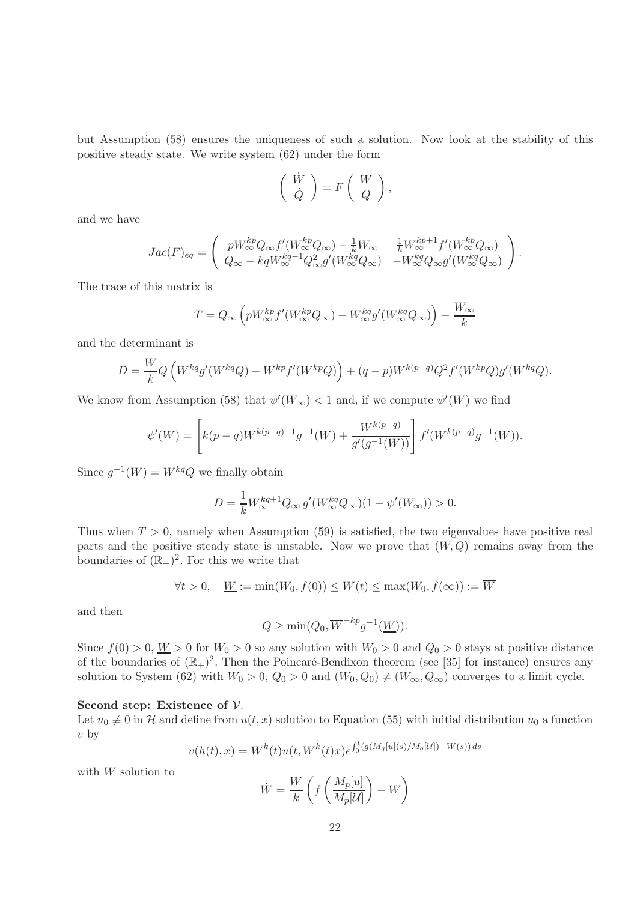but Assumption (58) ensures the uniqueness of such a solution. Now look at the stability of this positive steady state. We write system (62) under the form

$$
\left(\begin{array}{c}\n\dot{W} \\
\dot{Q}\n\end{array}\right) = F\left(\begin{array}{c}W\\Q\end{array}\right),
$$

and we have

$$
Jac(F)_{eq} = \begin{pmatrix} pW_{\infty}^{kp}Q_{\infty}f'(W_{\infty}^{kp}Q_{\infty}) - \frac{1}{k}W_{\infty} & \frac{1}{k}W_{\infty}^{kp+1}f'(W_{\infty}^{kp}Q_{\infty}) \\ Q_{\infty} - kqW_{\infty}^{kq-1}Q_{\infty}^2g'(W_{\infty}^{kq}Q_{\infty}) & -W_{\infty}^{kq}Q_{\infty}g'(W_{\infty}^{kq}Q_{\infty}) \end{pmatrix}.
$$

The trace of this matrix is

$$
T = Q_{\infty} \left( p W_{\infty}^{kp} f'(W_{\infty}^{kp} Q_{\infty}) - W_{\infty}^{kq} g'(W_{\infty}^{kq} Q_{\infty}) \right) - \frac{W_{\infty}}{k}
$$

and the determinant is

$$
D = \frac{W}{k}Q\left(W^{kq}g'(W^{kq}Q) - W^{kp}f'(W^{kp}Q)\right) + (q-p)W^{k(p+q)}Q^2f'(W^{kp}Q)g'(W^{kq}Q).
$$

We know from Assumption (58) that  $\psi'(W_{\infty}) < 1$  and, if we compute  $\psi'(W)$  we find

$$
\psi'(W) = \left[ k(p-q)W^{k(p-q)-1}g^{-1}(W) + \frac{W^{k(p-q)}}{g'(g^{-1}(W))} \right] f'(W^{k(p-q)}g^{-1}(W)).
$$

Since  $g^{-1}(W) = W^{kq}Q$  we finally obtain

$$
D = \frac{1}{k} W_{\infty}^{kq+1} Q_{\infty} g'(W_{\infty}^{kq} Q_{\infty})(1 - \psi'(W_{\infty})) > 0.
$$

Thus when  $T > 0$ , namely when Assumption (59) is satisfied, the two eigenvalues have positive real parts and the positive steady state is unstable. Now we prove that  $(W, Q)$  remains away from the boundaries of  $(\mathbb{R}_{+})^2$ . For this we write that

$$
\forall t > 0, \quad \underline{W} := \min(W_0, f(0)) \le W(t) \le \max(W_0, f(\infty)) := \overline{W}
$$

and then

$$
Q \ge \min(Q_0, \overline{W}^{-kp}g^{-1}(\underline{W})).
$$

Since  $f(0) > 0$ ,  $W > 0$  for  $W_0 > 0$  so any solution with  $W_0 > 0$  and  $Q_0 > 0$  stays at positive distance of the boundaries of  $(\mathbb{R}_{+})^2$ . Then the Poincaré-Bendixon theorem (see [35] for instance) ensures any solution to System (62) with  $W_0 > 0$ ,  $Q_0 > 0$  and  $(W_0, Q_0) \neq (W_\infty, Q_\infty)$  converges to a limit cycle.

#### Second step: Existence of  $V$ .

Let  $u_0 \neq 0$  in H and define from  $u(t, x)$  solution to Equation (55) with initial distribution  $u_0$  a function  $v \frac{1}{y}$ 

$$
v(h(t),x) = W^{k}(t)u(t, W^{k}(t)x)e^{\int_0^t (g(M_q[u](s)/M_q[u]) - W(s)) ds}
$$

with W solution to

$$
\dot{W} = \frac{W}{k} \left( f \left( \frac{M_p[u]}{M_p[\mathcal{U}]} \right) - W \right)
$$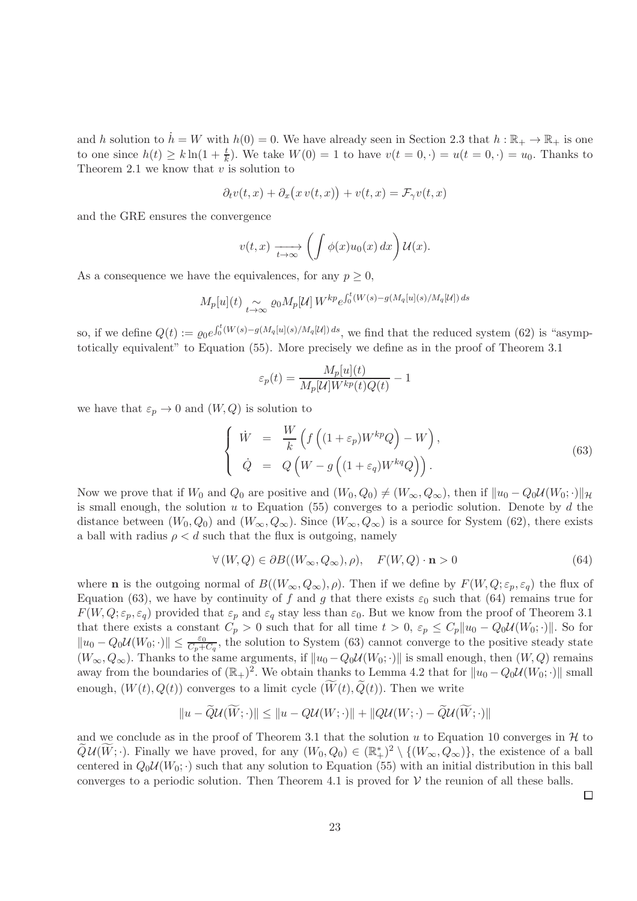and h solution to  $h = W$  with  $h(0) = 0$ . We have already seen in Section 2.3 that  $h : \mathbb{R}_+ \to \mathbb{R}_+$  is one to one since  $h(t) \geq k \ln(1 + \frac{t}{k})$ . We take  $W(0) = 1$  to have  $v(t = 0, \cdot) = u(t = 0, \cdot) = u_0$ . Thanks to Theorem 2.1 we know that  $v$  is solution to

$$
\partial_t v(t,x) + \partial_x (x v(t,x)) + v(t,x) = \mathcal{F}_{\gamma} v(t,x)
$$

and the GRE ensures the convergence

$$
v(t,x) \xrightarrow[t \to \infty]{} \left( \int \phi(x) u_0(x) \, dx \right) \mathcal{U}(x).
$$

As a consequence we have the equivalences, for any  $p \geq 0$ ,

$$
M_p[u](t) \underset{t \to \infty}{\sim} \varrho_0 M_p[\mathcal{U}] \, W^{kp} e^{\int_0^t (W(s) - g(M_q[u](s)/M_q[\mathcal{U}]) \, ds}
$$

so, if we define  $Q(t) := \varrho_0 e^{\int_0^t (W(s) - g(M_q[u](s)/M_q[u]) ds}$ , we find that the reduced system (62) is "asymptotically equivalent" to Equation (55). More precisely we define as in the proof of Theorem 3.1

$$
\varepsilon_p(t) = \frac{M_p[u](t)}{M_p[\mathcal{U}]\mathcal{W}^{kp}(t)Q(t)} - 1
$$

we have that  $\varepsilon_p \to 0$  and  $(W, Q)$  is solution to

$$
\begin{cases}\n\dot{W} = \frac{W}{k} \left( f \left( (1 + \varepsilon_p) W^{kp} Q \right) - W \right), \\
\dot{Q} = Q \left( W - g \left( (1 + \varepsilon_q) W^{kq} Q \right) \right).\n\end{cases} \tag{63}
$$

Now we prove that if  $W_0$  and  $Q_0$  are positive and  $(W_0, Q_0) \neq (W_\infty, Q_\infty)$ , then if  $||u_0 - Q_0 \mathcal{U}(W_0; \cdot)||_{\mathcal{H}}$ is small enough, the solution  $u$  to Equation (55) converges to a periodic solution. Denote by  $d$  the distance between  $(W_0, Q_0)$  and  $(W_\infty, Q_\infty)$ . Since  $(W_\infty, Q_\infty)$  is a source for System (62), there exists a ball with radius  $\rho < d$  such that the flux is outgoing, namely

$$
\forall (W, Q) \in \partial B((W_{\infty}, Q_{\infty}), \rho), \quad F(W, Q) \cdot \mathbf{n} > 0 \tag{64}
$$

where **n** is the outgoing normal of  $B((W_{\infty}, Q_{\infty}), \rho)$ . Then if we define by  $F(W, Q; \varepsilon_p, \varepsilon_q)$  the flux of Equation (63), we have by continuity of f and g that there exists  $\varepsilon_0$  such that (64) remains true for  $F(W,Q;\varepsilon_p,\varepsilon_q)$  provided that  $\varepsilon_p$  and  $\varepsilon_q$  stay less than  $\varepsilon_0$ . But we know from the proof of Theorem 3.1 that there exists a constant  $C_p > 0$  such that for all time  $t > 0$ ,  $\varepsilon_p \leq C_p ||u_0 - Q_0 \mathcal{U}(W_0; \cdot)||$ . So for  $||u_0 - Q_0 \mathcal{U}(W_0; \cdot)|| \leq \frac{\varepsilon_0}{C_p + C_q}$ , the solution to System (63) cannot converge to the positive steady state  $(W_{\infty}, Q_{\infty})$ . Thanks to the same arguments, if  $||u_0 - Q_0 \mathcal{U}(W_0; \cdot)||$  is small enough, then  $(W, Q)$  remains away from the boundaries of  $(\mathbb{R}_+)^2$ . We obtain thanks to Lemma 4.2 that for  $\|u_0 - Q_0 \mathcal{U}(W_0; \cdot)\|$  small enough,  $(W(t), O(t))$  converges to a limit cycle  $(\widetilde{W}(t), \widetilde{O}(t))$ . Then we write

$$
||u - \widetilde{Q}\mathcal{U}(\widetilde{W}; \cdot)|| \le ||u - Q\mathcal{U}(W; \cdot)|| + ||Q\mathcal{U}(W; \cdot) - \widetilde{Q}\mathcal{U}(\widetilde{W}; \cdot)||
$$

and we conclude as in the proof of Theorem 3.1 that the solution u to Equation 10 converges in  $H$  to  $\widetilde{Q}\mathcal{U}(\widetilde{W};\cdot)$ . Finally we have proved, for any  $(W_0,Q_0) \in (\mathbb{R}^*_+)^2 \setminus \{(W_\infty,Q_\infty)\}\,$  the existence of a ball centered in  $Q_0\mathcal{U}(W_0;\cdot)$  such that any solution to Equation (55) with an initial distribution in this ball converges to a periodic solution. Then Theorem 4.1 is proved for  $\mathcal V$  the reunion of all these balls.

 $\Box$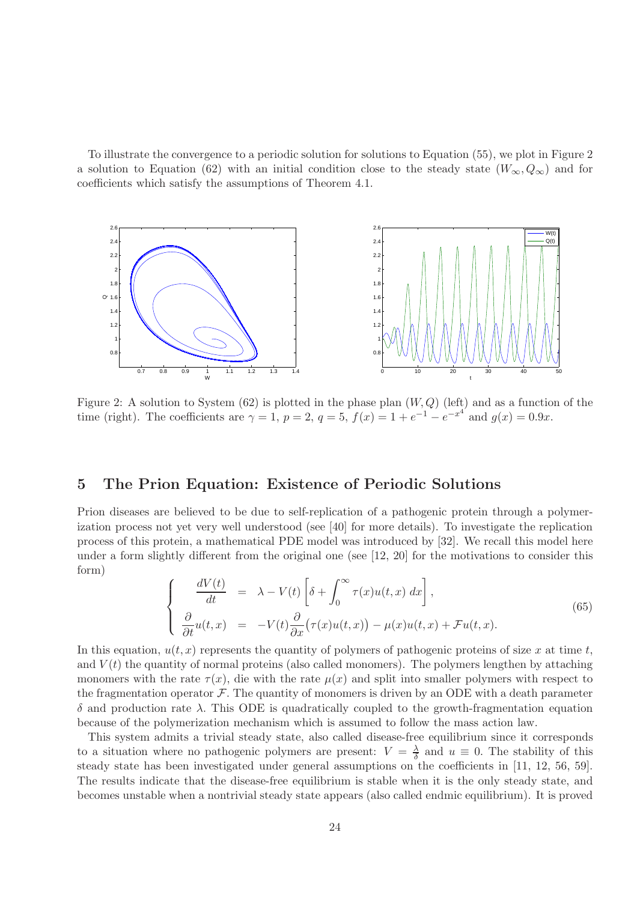To illustrate the convergence to a periodic solution for solutions to Equation (55), we plot in Figure 2 a solution to Equation (62) with an initial condition close to the steady state  $(W_{\infty}, Q_{\infty})$  and for coefficients which satisfy the assumptions of Theorem 4.1.



Figure 2: A solution to System  $(62)$  is plotted in the phase plan  $(W, Q)$  (left) and as a function of the time (right). The coefficients are  $\gamma = 1$ ,  $p = 2$ ,  $q = 5$ ,  $f(x) = 1 + e^{-1} - e^{-x^4}$  and  $g(x) = 0.9x$ .

## 5 The Prion Equation: Existence of Periodic Solutions

Prion diseases are believed to be due to self-replication of a pathogenic protein through a polymerization process not yet very well understood (see [40] for more details). To investigate the replication process of this protein, a mathematical PDE model was introduced by [32]. We recall this model here under a form slightly different from the original one (see [12, 20] for the motivations to consider this form)

$$
\begin{cases}\n\frac{dV(t)}{dt} = \lambda - V(t) \left[ \delta + \int_0^\infty \tau(x) u(t, x) \, dx \right], \\
\frac{\partial}{\partial t} u(t, x) = -V(t) \frac{\partial}{\partial x} (\tau(x) u(t, x)) - \mu(x) u(t, x) + \mathcal{F} u(t, x).\n\end{cases} \tag{65}
$$

In this equation,  $u(t, x)$  represents the quantity of polymers of pathogenic proteins of size x at time t, and  $V(t)$  the quantity of normal proteins (also called monomers). The polymers lengthen by attaching monomers with the rate  $\tau(x)$ , die with the rate  $\mu(x)$  and split into smaller polymers with respect to the fragmentation operator  $\mathcal F$ . The quantity of monomers is driven by an ODE with a death parameter δ and production rate λ. This ODE is quadratically coupled to the growth-fragmentation equation because of the polymerization mechanism which is assumed to follow the mass action law.

This system admits a trivial steady state, also called disease-free equilibrium since it corresponds to a situation where no pathogenic polymers are present:  $V = \frac{\lambda}{\delta}$  and  $u \equiv 0$ . The stability of this steady state has been investigated under general assumptions on the coefficients in [11, 12, 56, 59]. The results indicate that the disease-free equilibrium is stable when it is the only steady state, and becomes unstable when a nontrivial steady state appears (also called endmic equilibrium). It is proved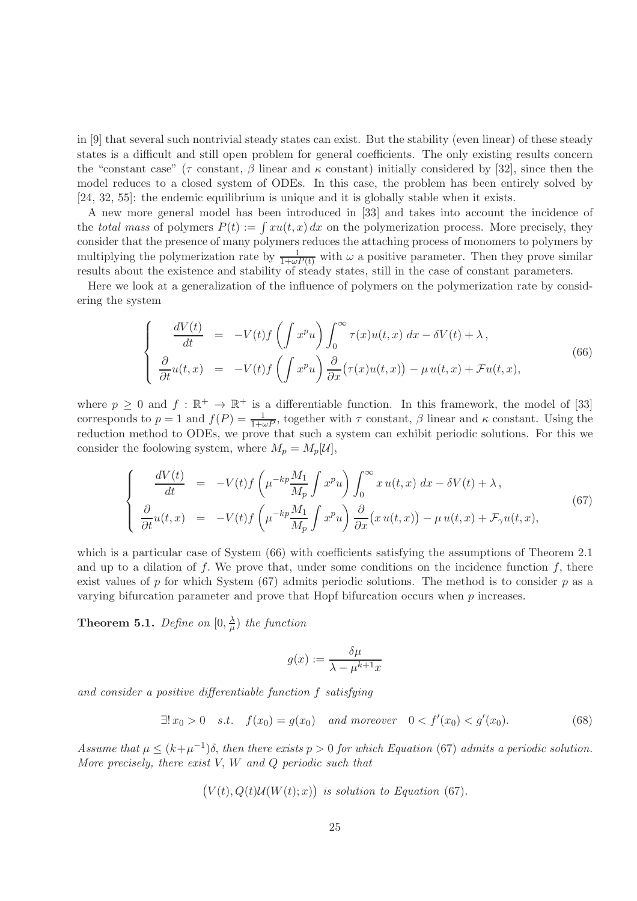in [9] that several such nontrivial steady states can exist. But the stability (even linear) of these steady states is a difficult and still open problem for general coefficients. The only existing results concern the "constant case" ( $\tau$  constant,  $\beta$  linear and  $\kappa$  constant) initially considered by [32], since then the model reduces to a closed system of ODEs. In this case, the problem has been entirely solved by [24, 32, 55]: the endemic equilibrium is unique and it is globally stable when it exists.

A new more general model has been introduced in [33] and takes into account the incidence of the *total mass* of polymers  $P(t) := \int xu(t, x) dx$  on the polymerization process. More precisely, they consider that the presence of many polymers reduces the attaching process of monomers to polymers by multiplying the polymerization rate by  $\frac{1}{1+\omega P(t)}$  with  $\omega$  a positive parameter. Then they prove similar results about the existence and stability of steady states, still in the case of constant parameters.

Here we look at a generalization of the influence of polymers on the polymerization rate by considering the system

$$
\begin{cases}\n\frac{dV(t)}{dt} = -V(t)f\left(\int x^p u\right) \int_0^\infty \tau(x)u(t,x) \, dx - \delta V(t) + \lambda, \\
\frac{\partial}{\partial t}u(t,x) = -V(t)f\left(\int x^p u\right) \frac{\partial}{\partial x}(\tau(x)u(t,x)) - \mu u(t,x) + \mathcal{F}u(t,x),\n\end{cases} \tag{66}
$$

where  $p \geq 0$  and  $f : \mathbb{R}^+ \to \mathbb{R}^+$  is a differentiable function. In this framework, the model of [33] corresponds to  $p = 1$  and  $f(P) = \frac{1}{1 + \omega P}$ , together with  $\tau$  constant,  $\beta$  linear and  $\kappa$  constant. Using the reduction method to ODEs, we prove that such a system can exhibit periodic solutions. For this we consider the foolowing system, where  $M_p = M_p[\mathcal{U}],$ 

$$
\begin{cases}\n\frac{dV(t)}{dt} = -V(t)f\left(\mu^{-kp}\frac{M_1}{M_p}\int x^p u\right)\int_0^\infty x\,u(t,x)\,dx - \delta V(t) + \lambda, \\
\frac{\partial}{\partial t}u(t,x) = -V(t)f\left(\mu^{-kp}\frac{M_1}{M_p}\int x^p u\right)\frac{\partial}{\partial x}(x\,u(t,x)) - \mu\,u(t,x) + \mathcal{F}_\gamma u(t,x),\n\end{cases} (67)
$$

which is a particular case of System  $(66)$  with coefficients satisfying the assumptions of Theorem 2.1 and up to a dilation of f. We prove that, under some conditions on the incidence function f, there exist values of p for which System  $(67)$  admits periodic solutions. The method is to consider p as a varying bifurcation parameter and prove that Hopf bifurcation occurs when  $p$  increases.

**Theorem 5.1.** Define on  $[0, \frac{\lambda}{\mu}]$  $\frac{\lambda}{\mu}$ ) the function

$$
g(x) := \frac{\delta \mu}{\lambda - \mu^{k+1} x}
$$

and consider a positive differentiable function f satisfying

$$
\exists! x_0 > 0 \quad s.t. \quad f(x_0) = g(x_0) \quad \text{and moreover} \quad 0 < f'(x_0) < g'(x_0). \tag{68}
$$

Assume that  $\mu \leq (k+\mu^{-1})\delta$ , then there exists  $p > 0$  for which Equation (67) admits a periodic solution. More precisely, there exist  $V, W$  and  $Q$  periodic such that

$$
(V(t), Q(t)U(W(t); x)) \text{ is solution to Equation (67).}
$$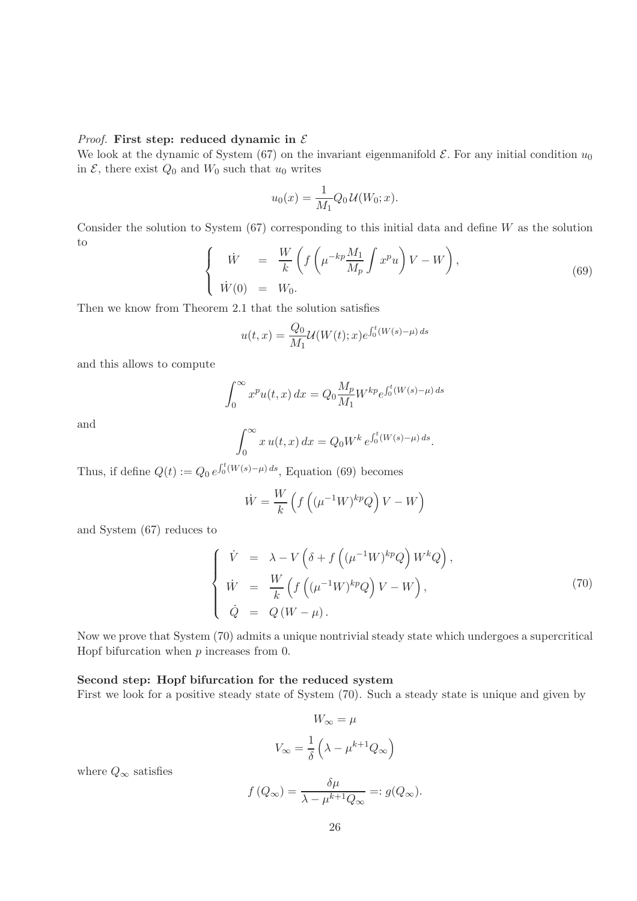#### *Proof.* First step: reduced dynamic in  $\mathcal E$

We look at the dynamic of System (67) on the invariant eigenmanifold  $\mathcal{E}$ . For any initial condition  $u_0$ in  $\mathcal{E}$ , there exist  $Q_0$  and  $W_0$  such that  $u_0$  writes

$$
u_0(x) = \frac{1}{M_1} Q_0 \mathcal{U}(W_0; x).
$$

Consider the solution to System  $(67)$  corresponding to this initial data and define W as the solution to

$$
\begin{cases}\n\dot{W} &= \frac{W}{k} \left( f \left( \mu^{-kp} \frac{M_1}{M_p} \int x^p u \right) V - W \right), \\
\dot{W}(0) &= W_0.\n\end{cases}
$$
\n(69)

Then we know from Theorem 2.1 that the solution satisfies

$$
u(t,x) = \frac{Q_0}{M_1} \mathcal{U}(W(t);x) e^{\int_0^t (W(s) - \mu) ds}
$$

and this allows to compute

$$
\int_0^{\infty} x^p u(t, x) dx = Q_0 \frac{M_p}{M_1} W^{kp} e^{\int_0^t (W(s) - \mu) ds}
$$

and

$$
\int_0^{\infty} x u(t, x) dx = Q_0 W^k e^{\int_0^t (W(s) - \mu) ds}.
$$

Thus, if define  $Q(t) := Q_0 e^{\int_0^t (W(s) - \mu) ds}$ , Equation (69) becomes

$$
\dot{W} = \frac{W}{k} \left( f \left( (\mu^{-1} W)^{kp} Q \right) V - W \right)
$$

and System (67) reduces to

$$
\begin{cases}\n\dot{V} = \lambda - V \left( \delta + f \left( (\mu^{-1} W)^{kp} Q \right) W^k Q \right), \\
\dot{W} = \frac{W}{k} \left( f \left( (\mu^{-1} W)^{kp} Q \right) V - W \right), \\
\dot{Q} = Q \left( W - \mu \right).\n\end{cases} (70)
$$

Now we prove that System (70) admits a unique nontrivial steady state which undergoes a supercritical Hopf bifurcation when  $p$  increases from 0.

### Second step: Hopf bifurcation for the reduced system

First we look for a positive steady state of System (70). Such a steady state is unique and given by

$$
W_{\infty} = \mu
$$

$$
V_{\infty} = \frac{1}{\delta} \left( \lambda - \mu^{k+1} Q_{\infty} \right)
$$

where  $Q_{\infty}$  satisfies

$$
f(Q_{\infty}) = \frac{\delta \mu}{\lambda - \mu^{k+1} Q_{\infty}} =: g(Q_{\infty}).
$$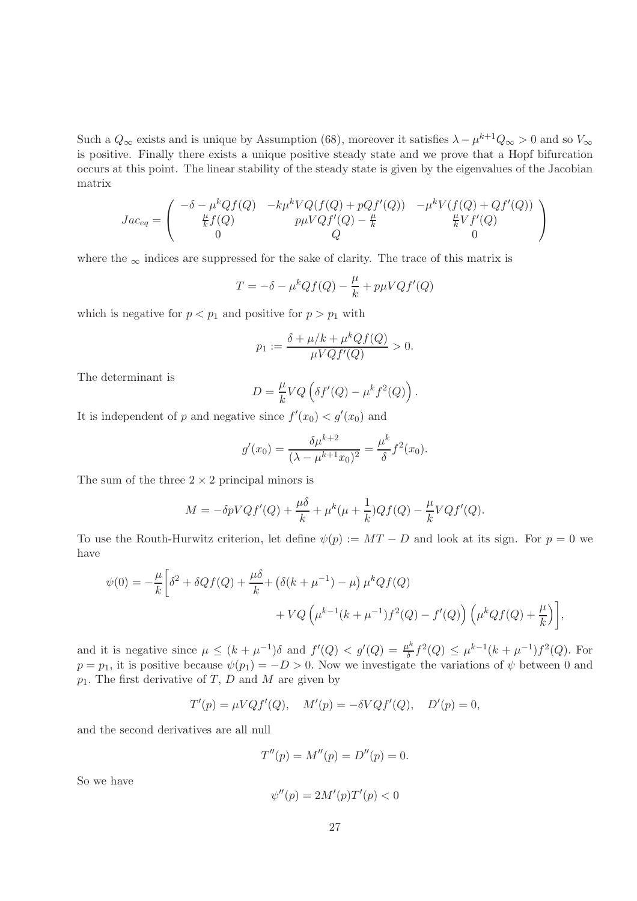Such a  $Q_{\infty}$  exists and is unique by Assumption (68), moreover it satisfies  $\lambda - \mu^{k+1}Q_{\infty} > 0$  and so  $V_{\infty}$ is positive. Finally there exists a unique positive steady state and we prove that a Hopf bifurcation occurs at this point. The linear stability of the steady state is given by the eigenvalues of the Jacobian matrix

$$
Jac_{eq} = \begin{pmatrix} -\delta - \mu^k Q f(Q) & -k\mu^k V Q(f(Q) + pQf'(Q)) & -\mu^k V(f(Q) + Qf'(Q)) \\ \frac{\mu}{k} f(Q) & p\mu V Q f'(Q) - \frac{\mu}{k} & \frac{\mu}{k} V f'(Q) \\ 0 & Q & 0 \end{pmatrix}
$$

where the  $\infty$  indices are suppressed for the sake of clarity. The trace of this matrix is

$$
T = -\delta - \mu^{k} Q f(Q) - \frac{\mu}{k} + p\mu V Q f'(Q)
$$

which is negative for  $p < p_1$  and positive for  $p > p_1$  with

$$
p_1 := \frac{\delta + \mu/k + \mu^k Qf(Q)}{\mu VQf'(Q)} > 0.
$$

The determinant is

$$
D = \frac{\mu}{k} VQ\left(\delta f'(Q) - \mu^k f^2(Q)\right).
$$

It is independent of p and negative since  $f'(x_0) < g'(x_0)$  and

$$
g'(x_0) = \frac{\delta \mu^{k+2}}{(\lambda - \mu^{k+1} x_0)^2} = \frac{\mu^k}{\delta} f^2(x_0).
$$

The sum of the three  $2 \times 2$  principal minors is

$$
M = -\delta p VQf'(Q) + \frac{\mu \delta}{k} + \mu^k(\mu + \frac{1}{k})Qf(Q) - \frac{\mu}{k}VQf'(Q).
$$

To use the Routh-Hurwitz criterion, let define  $\psi(p) := MT - D$  and look at its sign. For  $p = 0$  we have

$$
\psi(0) = -\frac{\mu}{k} \bigg[ \delta^2 + \delta Q f(Q) + \frac{\mu \delta}{k} + \left( \delta (k + \mu^{-1}) - \mu \right) \mu^k Q f(Q) + V Q \left( \mu^{k-1} (k + \mu^{-1}) f^2(Q) - f'(Q) \right) \left( \mu^k Q f(Q) + \frac{\mu}{k} \right) \bigg],
$$

and it is negative since  $\mu \leq (k + \mu^{-1})\delta$  and  $f'(Q) < g'(Q) = \frac{\mu^k}{\delta}$  $\int_{\delta}^{\mu} f^2(Q) \leq \mu^{k-1}(k+\mu^{-1})f^2(Q)$ . For  $p = p_1$ , it is positive because  $\psi(p_1) = -D > 0$ . Now we investigate the variations of  $\psi$  between 0 and  $p_1$ . The first derivative of T, D and M are given by

$$
T'(p) = \mu VQf'(Q), \quad M'(p) = -\delta VQf'(Q), \quad D'(p) = 0,
$$

and the second derivatives are all null

$$
T''(p) = M''(p) = D''(p) = 0.
$$

So we have

$$
\psi''(p) = 2M'(p)T'(p) < 0
$$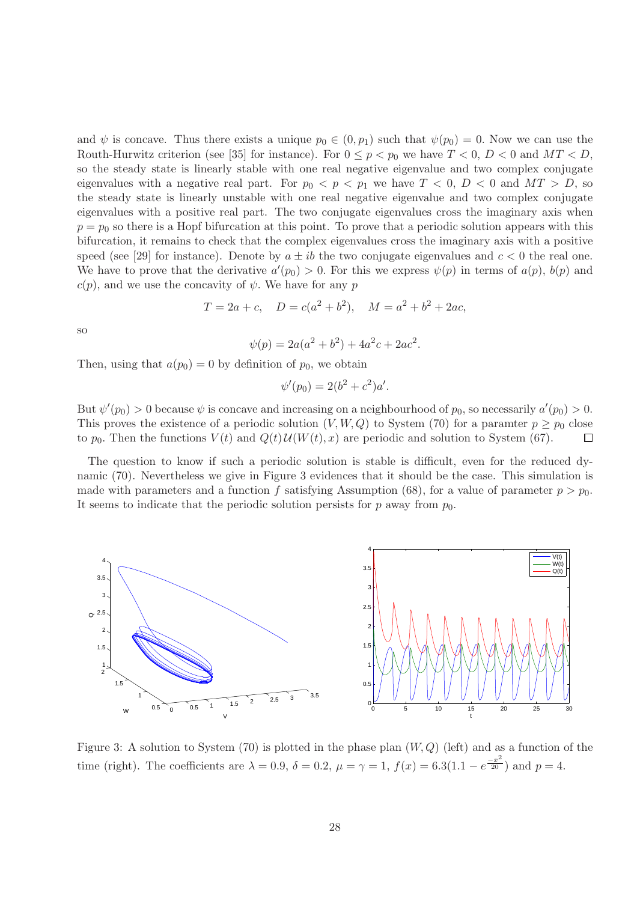and  $\psi$  is concave. Thus there exists a unique  $p_0 \in (0, p_1)$  such that  $\psi(p_0) = 0$ . Now we can use the Routh-Hurwitz criterion (see [35] for instance). For  $0 \le p < p_0$  we have  $T < 0$ ,  $D < 0$  and  $MT < D$ , so the steady state is linearly stable with one real negative eigenvalue and two complex conjugate eigenvalues with a negative real part. For  $p_0 < p < p_1$  we have  $T < 0$ ,  $D < 0$  and  $MT > D$ , so the steady state is linearly unstable with one real negative eigenvalue and two complex conjugate eigenvalues with a positive real part. The two conjugate eigenvalues cross the imaginary axis when  $p = p_0$  so there is a Hopf bifurcation at this point. To prove that a periodic solution appears with this bifurcation, it remains to check that the complex eigenvalues cross the imaginary axis with a positive speed (see [29] for instance). Denote by  $a \pm ib$  the two conjugate eigenvalues and  $c < 0$  the real one. We have to prove that the derivative  $a'(p_0) > 0$ . For this we express  $\psi(p)$  in terms of  $a(p)$ ,  $b(p)$  and  $c(p)$ , and we use the concavity of  $\psi$ . We have for any p

$$
T = 2a + c
$$
,  $D = c(a2 + b2)$ ,  $M = a2 + b2 + 2ac$ ,

so

$$
\psi(p) = 2a(a^2 + b^2) + 4a^2c + 2ac^2.
$$

Then, using that  $a(p_0) = 0$  by definition of  $p_0$ , we obtain

$$
\psi'(p_0) = 2(b^2 + c^2)a'.
$$

But  $\psi'(p_0) > 0$  because  $\psi$  is concave and increasing on a neighbourhood of  $p_0$ , so necessarily  $a'(p_0) > 0$ . This proves the existence of a periodic solution  $(V, W, Q)$  to System (70) for a paramter  $p \geq p_0$  close to  $p_0$ . Then the functions  $V(t)$  and  $Q(t)U(W(t), x)$  are periodic and solution to System (67). to  $p_0$ . Then the functions  $V(t)$  and  $Q(t)U(W(t), x)$  are periodic and solution to System (67).

The question to know if such a periodic solution is stable is difficult, even for the reduced dynamic (70). Nevertheless we give in Figure 3 evidences that it should be the case. This simulation is made with parameters and a function f satisfying Assumption (68), for a value of parameter  $p > p_0$ . It seems to indicate that the periodic solution persists for p away from  $p_0$ .



Figure 3: A solution to System (70) is plotted in the phase plan  $(W, Q)$  (left) and as a function of the time (right). The coefficients are  $\lambda = 0.9$ ,  $\delta = 0.2$ ,  $\mu = \gamma = 1$ ,  $f(x) = 6.3(1.1 - e^{\frac{-x^2}{20}})$  and  $p = 4$ .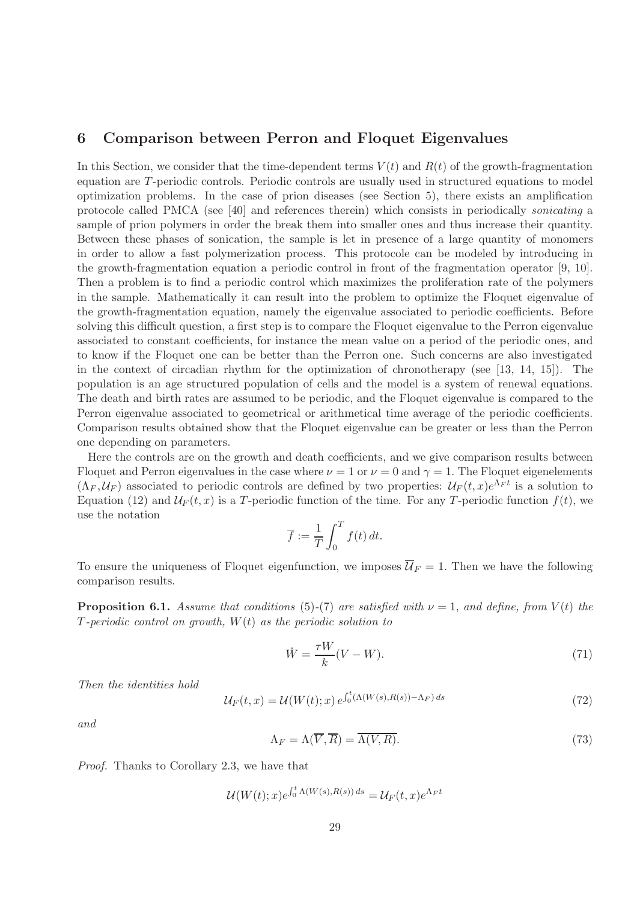## 6 Comparison between Perron and Floquet Eigenvalues

In this Section, we consider that the time-dependent terms  $V(t)$  and  $R(t)$  of the growth-fragmentation equation are T-periodic controls. Periodic controls are usually used in structured equations to model optimization problems. In the case of prion diseases (see Section 5), there exists an amplification protocole called PMCA (see [40] and references therein) which consists in periodically sonicating a sample of prion polymers in order the break them into smaller ones and thus increase their quantity. Between these phases of sonication, the sample is let in presence of a large quantity of monomers in order to allow a fast polymerization process. This protocole can be modeled by introducing in the growth-fragmentation equation a periodic control in front of the fragmentation operator [9, 10]. Then a problem is to find a periodic control which maximizes the proliferation rate of the polymers in the sample. Mathematically it can result into the problem to optimize the Floquet eigenvalue of the growth-fragmentation equation, namely the eigenvalue associated to periodic coefficients. Before solving this difficult question, a first step is to compare the Floquet eigenvalue to the Perron eigenvalue associated to constant coefficients, for instance the mean value on a period of the periodic ones, and to know if the Floquet one can be better than the Perron one. Such concerns are also investigated in the context of circadian rhythm for the optimization of chronotherapy (see [13, 14, 15]). The population is an age structured population of cells and the model is a system of renewal equations. The death and birth rates are assumed to be periodic, and the Floquet eigenvalue is compared to the Perron eigenvalue associated to geometrical or arithmetical time average of the periodic coefficients. Comparison results obtained show that the Floquet eigenvalue can be greater or less than the Perron one depending on parameters.

Here the controls are on the growth and death coefficients, and we give comparison results between Floquet and Perron eigenvalues in the case where  $\nu = 1$  or  $\nu = 0$  and  $\gamma = 1$ . The Floquet eigenelements  $(\Lambda_F, \mathcal{U}_F)$  associated to periodic controls are defined by two properties:  $\mathcal{U}_F(t, x)e^{\Lambda_F t}$  is a solution to Equation (12) and  $\mathcal{U}_F(t,x)$  is a T-periodic function of the time. For any T-periodic function  $f(t)$ , we use the notation

$$
\overline{f} := \frac{1}{T} \int_0^T f(t) dt.
$$

To ensure the uniqueness of Floquet eigenfunction, we imposes  $\overline{\mathcal{U}}_F = 1$ . Then we have the following comparison results.

**Proposition 6.1.** Assume that conditions (5)-(7) are satisfied with  $\nu = 1$ , and define, from  $V(t)$  the T-periodic control on growth,  $W(t)$  as the periodic solution to

$$
\dot{W} = \frac{\tau W}{k} (V - W). \tag{71}
$$

Then the identities hold

$$
\mathcal{U}_F(t,x) = \mathcal{U}(W(t);x) e^{\int_0^t (\Lambda(W(s),R(s)) - \Lambda_F) ds}
$$
\n(72)

and

$$
\Lambda_F = \Lambda(\overline{V}, \overline{R}) = \overline{\Lambda(V, R)}.
$$
\n(73)

Proof. Thanks to Corollary 2.3, we have that

$$
\mathcal{U}(W(t);x)e^{\int_0^t \Lambda(W(s),R(s))ds} = \mathcal{U}_F(t,x)e^{\Lambda_F t}
$$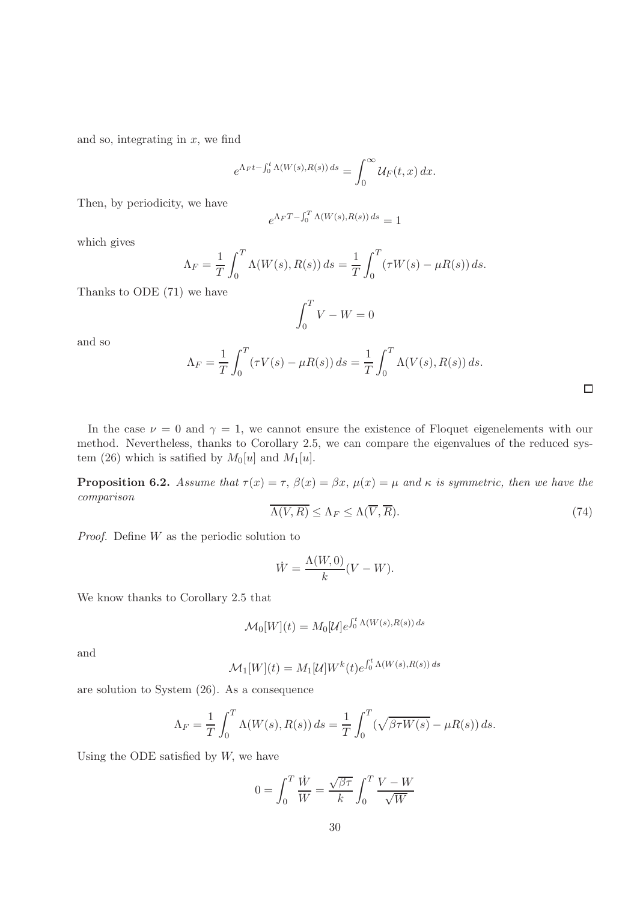and so, integrating in  $x$ , we find

$$
e^{\Lambda_F t - \int_0^t \Lambda(W(s), R(s)) ds} = \int_0^\infty \mathcal{U}_F(t, x) dx.
$$

Then, by periodicity, we have

$$
e^{\Lambda_F T - \int_0^T \Lambda(W(s), R(s)) ds} = 1
$$

which gives

$$
\Lambda_F = \frac{1}{T} \int_0^T \Lambda(W(s), R(s)) ds = \frac{1}{T} \int_0^T (\tau W(s) - \mu R(s)) ds.
$$

Thanks to ODE (71) we have

$$
\int_0^T V - W = 0
$$

and so

$$
\Lambda_F = \frac{1}{T} \int_0^T (\tau V(s) - \mu R(s)) ds = \frac{1}{T} \int_0^T \Lambda(V(s), R(s)) ds.
$$

| In the case $\nu = 0$ and $\gamma = 1$ , we cannot ensure the existence of Floquet eigenelements with our |  |  |  |
|-----------------------------------------------------------------------------------------------------------|--|--|--|
| method. Nevertheless, thanks to Corollary 2.5, we can compare the eigenvalues of the reduced sys-         |  |  |  |
| tem (26) which is satified by $M_0[u]$ and $M_1[u]$ .                                                     |  |  |  |

**Proposition 6.2.** Assume that  $\tau(x) = \tau$ ,  $\beta(x) = \beta x$ ,  $\mu(x) = \mu$  and  $\kappa$  is symmetric, then we have the comparison

$$
\overline{\Lambda(V,R)} \le \Lambda_F \le \Lambda(\overline{V},\overline{R}).\tag{74}
$$

 $\Box$ 

Proof. Define W as the periodic solution to

$$
\dot{W} = \frac{\Lambda(W,0)}{k}(V - W).
$$

We know thanks to Corollary 2.5 that

$$
\mathcal{M}_0[W](t) = M_0[\mathcal{U}]e^{\int_0^t \Lambda(W(s), R(s)) ds}
$$

and

$$
\mathcal{M}_1[W](t) = M_1[\mathcal{U}]W^k(t)e^{\int_0^t \Lambda(W(s),R(s)) ds}
$$

are solution to System (26). As a consequence

$$
\Lambda_F = \frac{1}{T} \int_0^T \Lambda(W(s), R(s)) ds = \frac{1}{T} \int_0^T (\sqrt{\beta \tau W(s)} - \mu R(s)) ds.
$$

Using the ODE satisfied by  $W$ , we have

$$
0 = \int_0^T \frac{\dot{W}}{W} = \frac{\sqrt{\beta \tau}}{k} \int_0^T \frac{V - W}{\sqrt{W}}
$$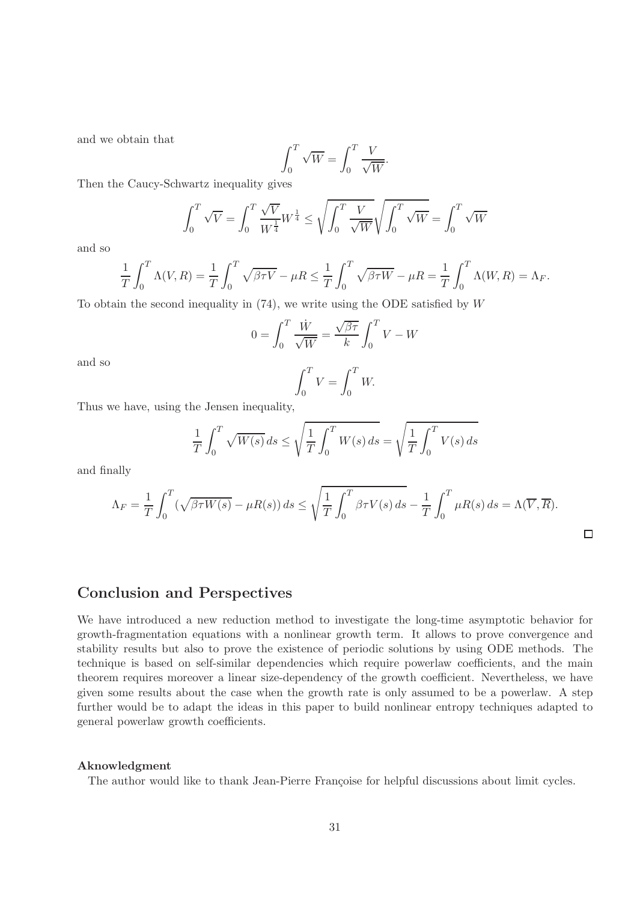and we obtain that

$$
\int_0^T \sqrt{W} = \int_0^T \frac{V}{\sqrt{W}}.
$$

Then the Caucy-Schwartz inequality gives

$$
\int_0^T \sqrt{V} = \int_0^T \frac{\sqrt{V}}{W^{\frac{1}{4}}} W^{\frac{1}{4}} \le \sqrt{\int_0^T \frac{V}{\sqrt{W}}} \sqrt{\int_0^T \sqrt{W}} = \int_0^T \sqrt{W}
$$

and so

$$
\frac{1}{T} \int_0^T \Lambda(V, R) = \frac{1}{T} \int_0^T \sqrt{\beta \tau V} - \mu R \le \frac{1}{T} \int_0^T \sqrt{\beta \tau W} - \mu R = \frac{1}{T} \int_0^T \Lambda(W, R) = \Lambda_F.
$$

To obtain the second inequality in  $(74)$ , we write using the ODE satisfied by W

$$
0 = \int_0^T \frac{\dot{W}}{\sqrt{W}} = \frac{\sqrt{\beta \tau}}{k} \int_0^T V - W
$$

$$
\int_0^T V = \int_0^T W.
$$

and so

Thus we have, using the Jensen inequality,

$$
\frac{1}{T} \int_0^T \sqrt{W(s)} ds \le \sqrt{\frac{1}{T} \int_0^T W(s) ds} = \sqrt{\frac{1}{T} \int_0^T V(s) ds}
$$

and finally

$$
\Lambda_F = \frac{1}{T} \int_0^T (\sqrt{\beta \tau W(s)} - \mu R(s)) ds \le \sqrt{\frac{1}{T} \int_0^T \beta \tau V(s) ds} - \frac{1}{T} \int_0^T \mu R(s) ds = \Lambda(\overline{V}, \overline{R}).
$$

 $\Box$ 

|  |  | <b>Conclusion and Perspectives</b> |
|--|--|------------------------------------|
|--|--|------------------------------------|

We have introduced a new reduction method to investigate the long-time asymptotic behavior for growth-fragmentation equations with a nonlinear growth term. It allows to prove convergence and stability results but also to prove the existence of periodic solutions by using ODE methods. The technique is based on self-similar dependencies which require powerlaw coefficients, and the main theorem requires moreover a linear size-dependency of the growth coefficient. Nevertheless, we have given some results about the case when the growth rate is only assumed to be a powerlaw. A step further would be to adapt the ideas in this paper to build nonlinear entropy techniques adapted to general powerlaw growth coefficients.

### Aknowledgment

The author would like to thank Jean-Pierre Françoise for helpful discussions about limit cycles.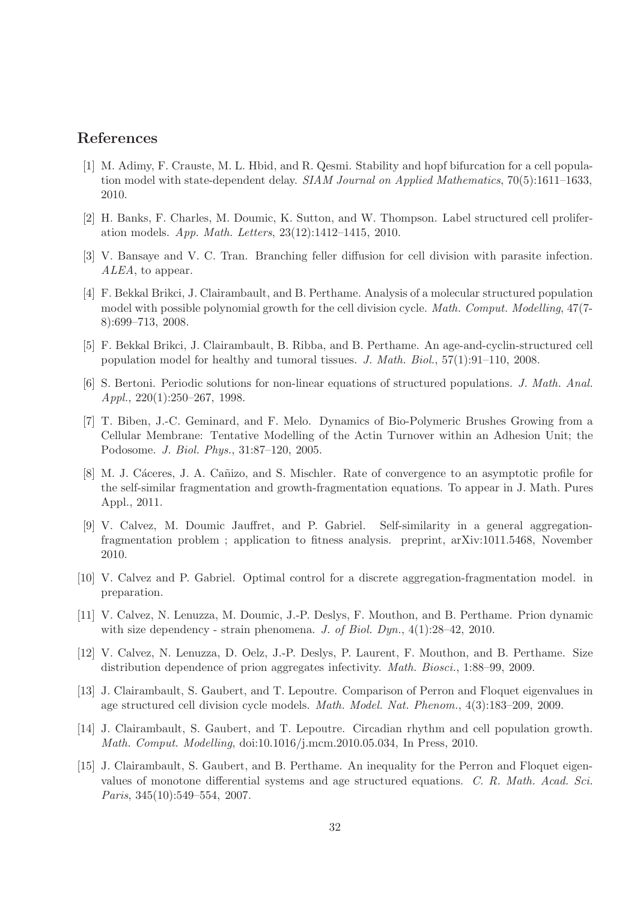## References

- [1] M. Adimy, F. Crauste, M. L. Hbid, and R. Qesmi. Stability and hopf bifurcation for a cell population model with state-dependent delay. SIAM Journal on Applied Mathematics, 70(5):1611–1633, 2010.
- [2] H. Banks, F. Charles, M. Doumic, K. Sutton, and W. Thompson. Label structured cell proliferation models. App. Math. Letters, 23(12):1412–1415, 2010.
- [3] V. Bansaye and V. C. Tran. Branching feller diffusion for cell division with parasite infection. ALEA, to appear.
- [4] F. Bekkal Brikci, J. Clairambault, and B. Perthame. Analysis of a molecular structured population model with possible polynomial growth for the cell division cycle. *Math. Comput. Modelling*, 47(7-8):699–713, 2008.
- [5] F. Bekkal Brikci, J. Clairambault, B. Ribba, and B. Perthame. An age-and-cyclin-structured cell population model for healthy and tumoral tissues. J. Math. Biol., 57(1):91–110, 2008.
- [6] S. Bertoni. Periodic solutions for non-linear equations of structured populations. J. Math. Anal. Appl., 220(1):250–267, 1998.
- [7] T. Biben, J.-C. Geminard, and F. Melo. Dynamics of Bio-Polymeric Brushes Growing from a Cellular Membrane: Tentative Modelling of the Actin Turnover within an Adhesion Unit; the Podosome. J. Biol. Phys., 31:87–120, 2005.
- [8] M. J. Cáceres, J. A. Cañizo, and S. Mischler. Rate of convergence to an asymptotic profile for the self-similar fragmentation and growth-fragmentation equations. To appear in J. Math. Pures Appl., 2011.
- [9] V. Calvez, M. Doumic Jauffret, and P. Gabriel. Self-similarity in a general aggregationfragmentation problem ; application to fitness analysis. preprint, arXiv:1011.5468, November 2010.
- [10] V. Calvez and P. Gabriel. Optimal control for a discrete aggregation-fragmentation model. in preparation.
- [11] V. Calvez, N. Lenuzza, M. Doumic, J.-P. Deslys, F. Mouthon, and B. Perthame. Prion dynamic with size dependency - strain phenomena. J. of Biol. Dyn.,  $4(1):28-42$ , 2010.
- [12] V. Calvez, N. Lenuzza, D. Oelz, J.-P. Deslys, P. Laurent, F. Mouthon, and B. Perthame. Size distribution dependence of prion aggregates infectivity. Math. Biosci., 1:88–99, 2009.
- [13] J. Clairambault, S. Gaubert, and T. Lepoutre. Comparison of Perron and Floquet eigenvalues in age structured cell division cycle models. Math. Model. Nat. Phenom., 4(3):183–209, 2009.
- [14] J. Clairambault, S. Gaubert, and T. Lepoutre. Circadian rhythm and cell population growth. Math. Comput. Modelling, doi:10.1016/j.mcm.2010.05.034, In Press, 2010.
- [15] J. Clairambault, S. Gaubert, and B. Perthame. An inequality for the Perron and Floquet eigenvalues of monotone differential systems and age structured equations. C. R. Math. Acad. Sci. Paris, 345(10):549–554, 2007.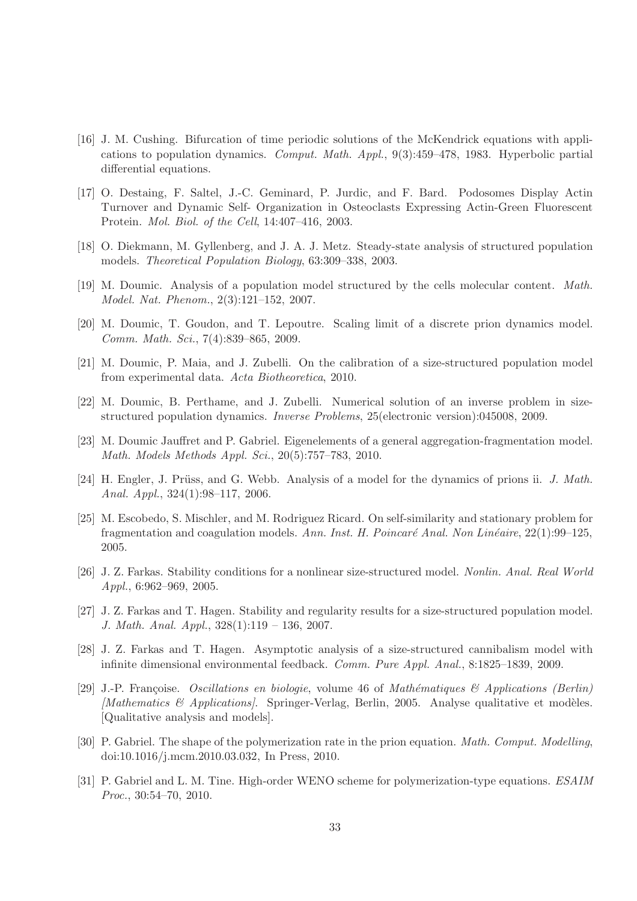- [16] J. M. Cushing. Bifurcation of time periodic solutions of the McKendrick equations with applications to population dynamics. Comput. Math. Appl., 9(3):459–478, 1983. Hyperbolic partial differential equations.
- [17] O. Destaing, F. Saltel, J.-C. Geminard, P. Jurdic, and F. Bard. Podosomes Display Actin Turnover and Dynamic Self- Organization in Osteoclasts Expressing Actin-Green Fluorescent Protein. Mol. Biol. of the Cell, 14:407–416, 2003.
- [18] O. Diekmann, M. Gyllenberg, and J. A. J. Metz. Steady-state analysis of structured population models. Theoretical Population Biology, 63:309–338, 2003.
- [19] M. Doumic. Analysis of a population model structured by the cells molecular content. Math. Model. Nat. Phenom., 2(3):121–152, 2007.
- [20] M. Doumic, T. Goudon, and T. Lepoutre. Scaling limit of a discrete prion dynamics model. Comm. Math. Sci., 7(4):839–865, 2009.
- [21] M. Doumic, P. Maia, and J. Zubelli. On the calibration of a size-structured population model from experimental data. Acta Biotheoretica, 2010.
- [22] M. Doumic, B. Perthame, and J. Zubelli. Numerical solution of an inverse problem in sizestructured population dynamics. Inverse Problems, 25(electronic version):045008, 2009.
- [23] M. Doumic Jauffret and P. Gabriel. Eigenelements of a general aggregation-fragmentation model. Math. Models Methods Appl. Sci., 20(5):757–783, 2010.
- [24] H. Engler, J. Prüss, and G. Webb. Analysis of a model for the dynamics of prions ii. J. Math. Anal. Appl., 324(1):98–117, 2006.
- [25] M. Escobedo, S. Mischler, and M. Rodriguez Ricard. On self-similarity and stationary problem for fragmentation and coagulation models. Ann. Inst. H. Poincaré Anal. Non Linéaire,  $22(1):99-125$ , 2005.
- [26] J. Z. Farkas. Stability conditions for a nonlinear size-structured model. Nonlin. Anal. Real World Appl., 6:962–969, 2005.
- [27] J. Z. Farkas and T. Hagen. Stability and regularity results for a size-structured population model. J. Math. Anal. Appl., 328(1):119 – 136, 2007.
- [28] J. Z. Farkas and T. Hagen. Asymptotic analysis of a size-structured cannibalism model with infinite dimensional environmental feedback. Comm. Pure Appl. Anal., 8:1825–1839, 2009.
- [29] J.-P. Françoise. Oscillations en biologie, volume 46 of Mathématiques & Applications (Berlin) *Mathematics & Applications*. Springer-Verlag, Berlin, 2005. Analyse qualitative et modèles. [Qualitative analysis and models].
- [30] P. Gabriel. The shape of the polymerization rate in the prion equation. *Math. Comput. Modelling*, doi:10.1016/j.mcm.2010.03.032, In Press, 2010.
- [31] P. Gabriel and L. M. Tine. High-order WENO scheme for polymerization-type equations. *ESAIM* Proc., 30:54–70, 2010.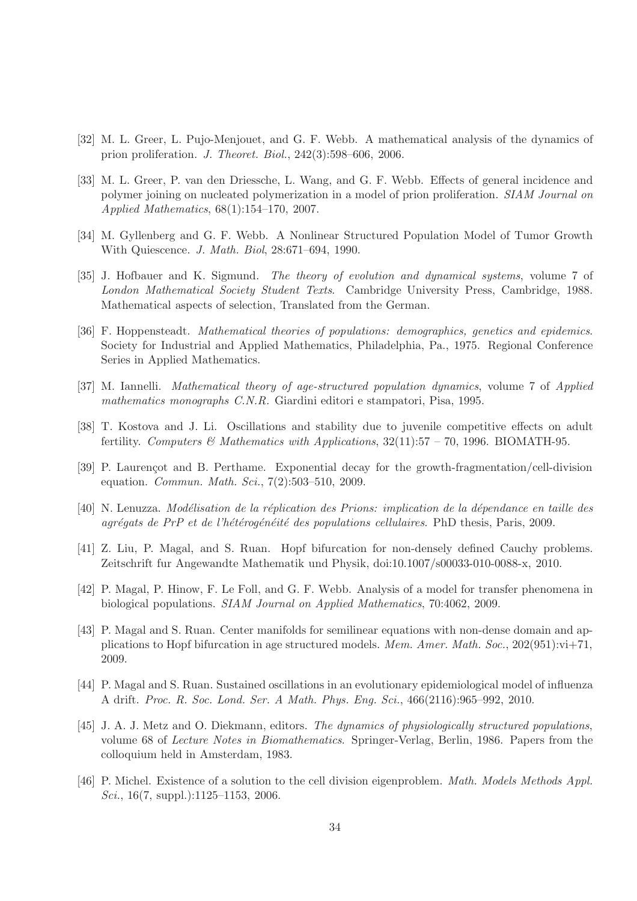- [32] M. L. Greer, L. Pujo-Menjouet, and G. F. Webb. A mathematical analysis of the dynamics of prion proliferation. J. Theoret. Biol., 242(3):598–606, 2006.
- [33] M. L. Greer, P. van den Driessche, L. Wang, and G. F. Webb. Effects of general incidence and polymer joining on nucleated polymerization in a model of prion proliferation. SIAM Journal on Applied Mathematics, 68(1):154–170, 2007.
- [34] M. Gyllenberg and G. F. Webb. A Nonlinear Structured Population Model of Tumor Growth With Quiescence. J. Math. Biol, 28:671–694, 1990.
- [35] J. Hofbauer and K. Sigmund. The theory of evolution and dynamical systems, volume 7 of London Mathematical Society Student Texts. Cambridge University Press, Cambridge, 1988. Mathematical aspects of selection, Translated from the German.
- [36] F. Hoppensteadt. Mathematical theories of populations: demographics, genetics and epidemics. Society for Industrial and Applied Mathematics, Philadelphia, Pa., 1975. Regional Conference Series in Applied Mathematics.
- [37] M. Iannelli. Mathematical theory of age-structured population dynamics, volume 7 of Applied mathematics monographs C.N.R. Giardini editori e stampatori, Pisa, 1995.
- [38] T. Kostova and J. Li. Oscillations and stability due to juvenile competitive effects on adult fertility. Computers & Mathematics with Applications,  $32(11):57 - 70$ , 1996. BIOMATH-95.
- [39] P. Laurençot and B. Perthame. Exponential decay for the growth-fragmentation/cell-division equation. Commun. Math. Sci., 7(2):503–510, 2009.
- [40] N. Lenuzza. Modélisation de la réplication des Prions: implication de la dépendance en taille des agrégats de PrP et de l'hétérogénéité des populations cellulaires. PhD thesis, Paris, 2009.
- [41] Z. Liu, P. Magal, and S. Ruan. Hopf bifurcation for non-densely defined Cauchy problems. Zeitschrift fur Angewandte Mathematik und Physik, doi:10.1007/s00033-010-0088-x, 2010.
- [42] P. Magal, P. Hinow, F. Le Foll, and G. F. Webb. Analysis of a model for transfer phenomena in biological populations. SIAM Journal on Applied Mathematics, 70:4062, 2009.
- [43] P. Magal and S. Ruan. Center manifolds for semilinear equations with non-dense domain and applications to Hopf bifurcation in age structured models. *Mem. Amer. Math. Soc.*,  $202(951):vi+71$ , 2009.
- [44] P. Magal and S. Ruan. Sustained oscillations in an evolutionary epidemiological model of influenza A drift. Proc. R. Soc. Lond. Ser. A Math. Phys. Eng. Sci., 466(2116):965–992, 2010.
- [45] J. A. J. Metz and O. Diekmann, editors. The dynamics of physiologically structured populations, volume 68 of Lecture Notes in Biomathematics. Springer-Verlag, Berlin, 1986. Papers from the colloquium held in Amsterdam, 1983.
- [46] P. Michel. Existence of a solution to the cell division eigenproblem. Math. Models Methods Appl. Sci.,  $16(7, \text{suppl.})$ :1125–1153, 2006.